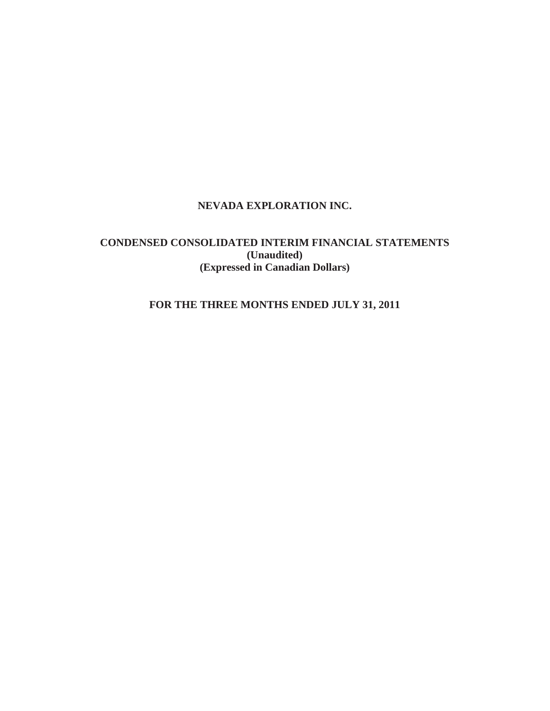# **NEVADA EXPLORATION INC.**

# **CONDENSED CONSOLIDATED INTERIM FINANCIAL STATEMENTS (Unaudited) (Expressed in Canadian Dollars)**

# **FOR THE THREE MONTHS ENDED JULY 31, 2011**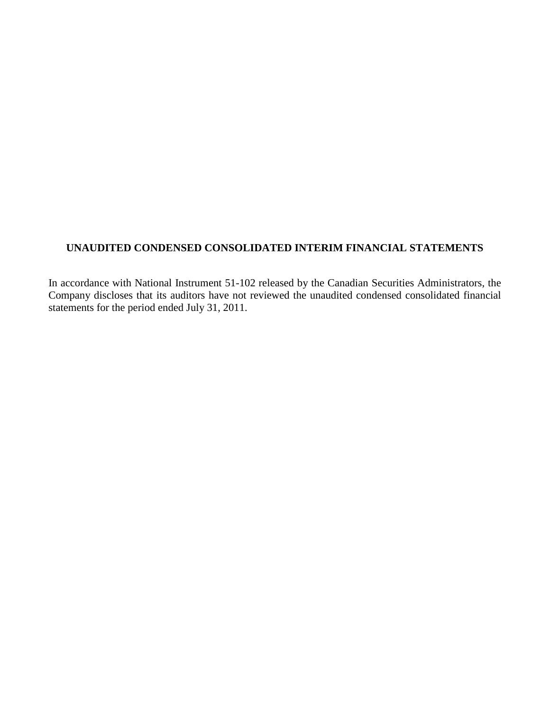# **UNAUDITED CONDENSED CONSOLIDATED INTERIM FINANCIAL STATEMENTS**

In accordance with National Instrument 51-102 released by the Canadian Securities Administrators, the Company discloses that its auditors have not reviewed the unaudited condensed consolidated financial statements for the period ended July 31, 2011.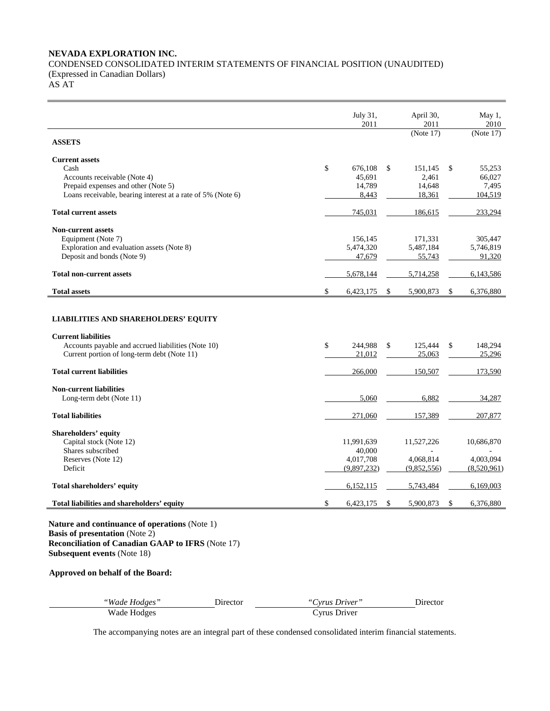# **NEVADA EXPLORATION INC.**  CONDENSED CONSOLIDATED INTERIM STATEMENTS OF FINANCIAL POSITION (UNAUDITED) (Expressed in Canadian Dollars)

AS AT

Ē,

|                                                                                                                                                                                          | July 31,<br>2011                   |          | April 30,<br>2011            | May 1,<br>2010                     |
|------------------------------------------------------------------------------------------------------------------------------------------------------------------------------------------|------------------------------------|----------|------------------------------|------------------------------------|
| <b>ASSETS</b>                                                                                                                                                                            |                                    |          | (Note 17)                    | (Note 17)                          |
| <b>Current assets</b>                                                                                                                                                                    |                                    |          |                              |                                    |
| Cash                                                                                                                                                                                     | \$<br>676,108                      | \$       | 151,145                      | \$<br>55,253                       |
| Accounts receivable (Note 4)                                                                                                                                                             | 45,691                             |          | 2,461                        | 66,027                             |
| Prepaid expenses and other (Note 5)                                                                                                                                                      | 14,789                             |          | 14,648                       | 7,495                              |
| Loans receivable, bearing interest at a rate of 5% (Note 6)                                                                                                                              | 8,443                              |          | 18,361                       | 104,519                            |
| <b>Total current assets</b>                                                                                                                                                              | 745,031                            |          | 186,615                      | 233,294                            |
| <b>Non-current assets</b>                                                                                                                                                                |                                    |          |                              |                                    |
| Equipment (Note 7)                                                                                                                                                                       | 156,145                            |          | 171,331                      | 305,447                            |
| Exploration and evaluation assets (Note 8)                                                                                                                                               | 5,474,320                          |          | 5,487,184                    | 5,746,819                          |
| Deposit and bonds (Note 9)                                                                                                                                                               | 47,679                             |          | 55,743                       | 91,320                             |
| <b>Total non-current assets</b>                                                                                                                                                          | 5,678,144                          |          | 5,714,258                    | 6,143,586                          |
| <b>Total assets</b>                                                                                                                                                                      | \$<br>6,423,175                    | \$       | 5,900,873                    | \$<br>6,376,880                    |
| Accounts payable and accrued liabilities (Note 10)<br>Current portion of long-term debt (Note 11)<br><b>Total current liabilities</b>                                                    | \$<br>244,988<br>21,012<br>266,000 | \$       | 125,444<br>25,063<br>150,507 | \$<br>148,294<br>25,296<br>173,590 |
|                                                                                                                                                                                          |                                    |          |                              |                                    |
| <b>Non-current liabilities</b>                                                                                                                                                           |                                    |          |                              |                                    |
| Long-term debt (Note 11)                                                                                                                                                                 | 5,060                              |          | 6,882                        | 34,287                             |
| <b>Total liabilities</b>                                                                                                                                                                 | 271,060                            |          | 157,389                      | 207,877                            |
| <b>Shareholders' equity</b>                                                                                                                                                              |                                    |          |                              |                                    |
| Capital stock (Note 12)                                                                                                                                                                  | 11,991,639                         |          | 11,527,226                   | 10,686,870                         |
| Shares subscribed                                                                                                                                                                        | 40,000                             |          |                              |                                    |
| Reserves (Note 12)                                                                                                                                                                       | 4,017,708                          |          | 4.068.814                    | 4.003.094                          |
| Deficit                                                                                                                                                                                  | (9,897,232)                        |          | (9,852,556)                  | (8,520,961)                        |
| Total shareholders' equity                                                                                                                                                               | 6,152,115                          |          | 5,743,484                    | 6,169,003                          |
| Total liabilities and shareholders' equity                                                                                                                                               | \$<br>6,423,175                    | <b>S</b> | 5,900,873                    | \$<br>6,376,880                    |
| Nature and continuance of operations (Note 1)<br><b>Basis of presentation</b> (Note 2)<br><b>Reconciliation of Canadian GAAP to IFRS (Note 17)</b><br><b>Subsequent events (Note 18)</b> |                                    |          |                              |                                    |

# **Approved on behalf of the Board:**

| "Wade Hodges" | Director | Cyrus Driver" | <b>Jirector</b> |
|---------------|----------|---------------|-----------------|
| Wade Hodges   |          | Cvrus Driver  |                 |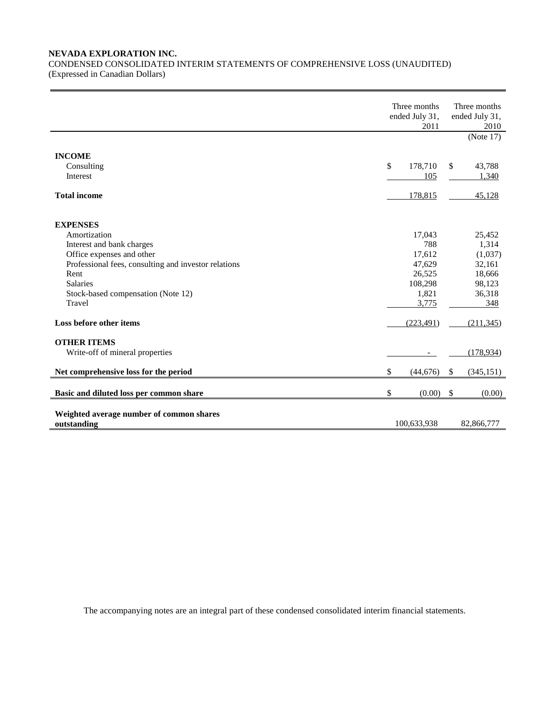## **NEVADA EXPLORATION INC.**

CONDENSED CONSOLIDATED INTERIM STATEMENTS OF COMPREHENSIVE LOSS (UNAUDITED) (Expressed in Canadian Dollars)

|                                                                                   | Three months<br>ended July 31,<br>2010<br>(Note $17$ ) |                   |
|-----------------------------------------------------------------------------------|--------------------------------------------------------|-------------------|
| <b>INCOME</b><br>Consulting                                                       | \$<br>178,710                                          | 43,788<br>\$      |
| Interest                                                                          | 105                                                    | 1,340             |
| <b>Total income</b>                                                               | 178,815                                                | 45,128            |
| <b>EXPENSES</b>                                                                   |                                                        |                   |
| Amortization                                                                      | 17,043                                                 | 25,452            |
| Interest and bank charges                                                         | 788                                                    | 1,314             |
| Office expenses and other<br>Professional fees, consulting and investor relations | 17,612<br>47,629                                       | (1,037)<br>32,161 |
| Rent                                                                              | 26,525                                                 | 18,666            |
| <b>Salaries</b>                                                                   | 108,298                                                | 98,123            |
| Stock-based compensation (Note 12)                                                | 1,821                                                  | 36,318            |
| Travel                                                                            | 3,775                                                  | 348               |
| Loss before other items                                                           | (223, 491)                                             | (211, 345)        |
| <b>OTHER ITEMS</b>                                                                |                                                        |                   |
| Write-off of mineral properties                                                   |                                                        | (178, 934)        |
| Net comprehensive loss for the period                                             | \$<br>(44,676)                                         | \$<br>(345, 151)  |
| Basic and diluted loss per common share                                           | \$<br>(0.00)                                           | \$<br>(0.00)      |
| Weighted average number of common shares                                          |                                                        |                   |
| outstanding                                                                       | 100,633,938                                            | 82,866,777        |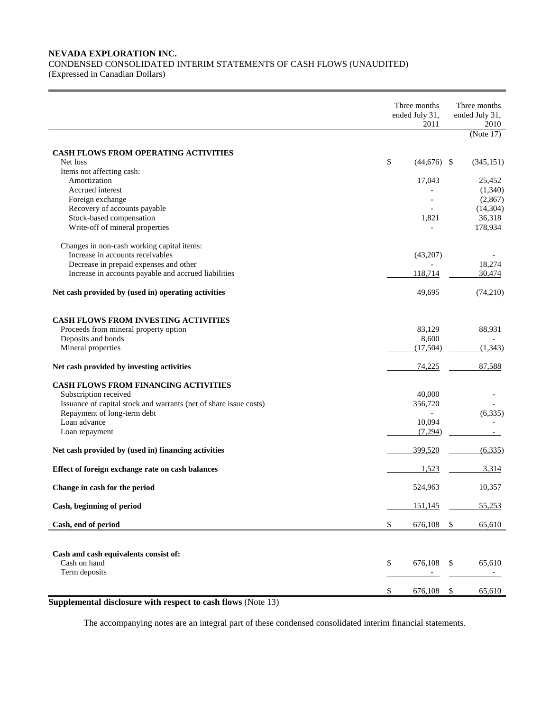## **NEVADA EXPLORATION INC.**  CONDENSED CONSOLIDATED INTERIM STATEMENTS OF CASH FLOWS (UNAUDITED)

(Expressed in Canadian Dollars)

|                                                                        | Three months<br>ended July 31,<br>2011 | Three months<br>ended July 31,<br>2010<br>(Note 17) |
|------------------------------------------------------------------------|----------------------------------------|-----------------------------------------------------|
| <b>CASH FLOWS FROM OPERATING ACTIVITIES</b>                            |                                        |                                                     |
| Net loss                                                               | \$<br>$(44,676)$ \$                    | (345, 151)                                          |
| Items not affecting cash:                                              |                                        |                                                     |
| Amortization                                                           | 17,043                                 | 25,452                                              |
| Accrued interest                                                       |                                        | (1,340)                                             |
| Foreign exchange                                                       |                                        | (2,867)                                             |
| Recovery of accounts payable                                           |                                        | (14, 304)                                           |
| Stock-based compensation                                               | 1,821                                  | 36,318                                              |
| Write-off of mineral properties                                        |                                        | 178,934                                             |
| Changes in non-cash working capital items:                             |                                        |                                                     |
| Increase in accounts receivables                                       | (43,207)                               |                                                     |
| Decrease in prepaid expenses and other                                 |                                        | 18,274                                              |
| Increase in accounts payable and accrued liabilities                   | 118,714                                | 30,474                                              |
| Net cash provided by (used in) operating activities                    | 49,695                                 | (74,210)                                            |
| <b>CASH FLOWS FROM INVESTING ACTIVITIES</b>                            |                                        |                                                     |
| Proceeds from mineral property option                                  | 83,129                                 | 88,931                                              |
| Deposits and bonds                                                     | 8,600                                  |                                                     |
| Mineral properties                                                     | (17,504)                               | (1, 343)                                            |
| Net cash provided by investing activities                              | 74,225                                 | 87,588                                              |
| <b>CASH FLOWS FROM FINANCING ACTIVITIES</b>                            |                                        |                                                     |
| Subscription received                                                  | 40,000                                 |                                                     |
| Issuance of capital stock and warrants (net of share issue costs)      | 356,720                                |                                                     |
| Repayment of long-term debt                                            |                                        | (6, 335)                                            |
| Loan advance                                                           | 10,094                                 |                                                     |
| Loan repayment                                                         | (7,294)                                |                                                     |
| Net cash provided by (used in) financing activities                    | 399,520                                | (6, 335)                                            |
| Effect of foreign exchange rate on cash balances                       | 1,523                                  | 3,314                                               |
| Change in cash for the period                                          | 524,963                                | 10,357                                              |
| Cash, beginning of period                                              | 151,145                                | 55,253                                              |
| Cash, end of period                                                    | \$<br>676,108                          | \$<br>65,610                                        |
|                                                                        |                                        |                                                     |
| Cash and cash equivalents consist of:<br>Cash on hand<br>Term deposits | \$<br>676,108                          | \$<br>65,610                                        |
|                                                                        | \$<br>676,108                          | \$<br>65,610                                        |

**Supplemental disclosure with respect to cash flows** (Note 13)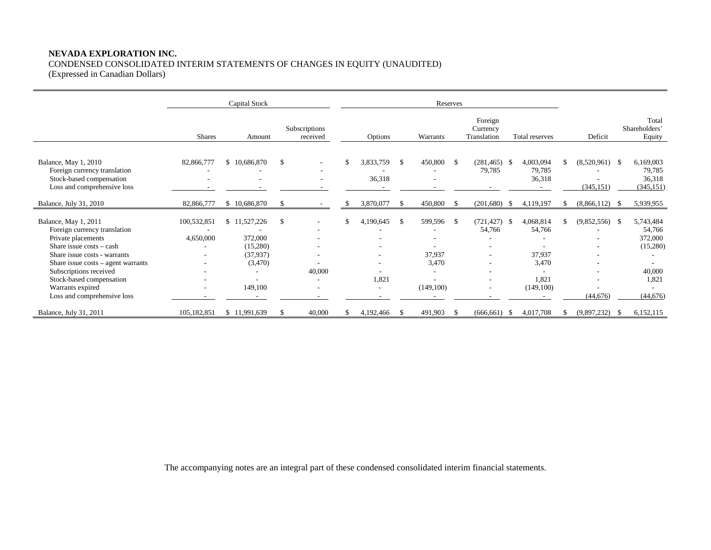# **NEVADA EXPLORATION INC.**

# CONDENSED CONSOLIDATED INTERIM STATEMENTS OF CHANGES IN EQUITY (UNAUDITED)

(Expressed in Canadian Dollars)

|                                                                                                                                                                                                                                                                                            |                               | Capital Stock                                                         |               |                                                           | Reserves |                     |               |                                         |          |                                                                                                          |      |                                                              |     |                                |    |                                                                            |
|--------------------------------------------------------------------------------------------------------------------------------------------------------------------------------------------------------------------------------------------------------------------------------------------|-------------------------------|-----------------------------------------------------------------------|---------------|-----------------------------------------------------------|----------|---------------------|---------------|-----------------------------------------|----------|----------------------------------------------------------------------------------------------------------|------|--------------------------------------------------------------|-----|--------------------------------|----|----------------------------------------------------------------------------|
|                                                                                                                                                                                                                                                                                            | <b>Shares</b>                 | Amount                                                                |               | Subscriptions<br>received                                 |          | Options             |               | Warrants                                |          | Foreign<br>Currency<br>Translation                                                                       |      | Total reserves                                               |     | Deficit                        |    | Total<br>Shareholders'<br>Equity                                           |
| Balance, May 1, 2010<br>Foreign currency translation<br>Stock-based compensation<br>Loss and comprehensive loss                                                                                                                                                                            | 82,866,777                    | \$10,686,870                                                          | \$            | ۰<br>$\overline{\phantom{a}}$<br>$\overline{\phantom{a}}$ | \$       | 3,833,759<br>36,318 | \$            | 450,800                                 | -S       | $(281, 465)$ \$<br>79,785                                                                                |      | 4,003,094<br>79,785<br>36,318                                |     | $(8,520,961)$ \$<br>(345, 151) |    | 6,169,003<br>79,785<br>36,318<br>(345, 151)                                |
| Balance, July 31, 2010                                                                                                                                                                                                                                                                     | 82,866,777                    | \$10,686,870                                                          | S.            |                                                           | S.       | 3,870,077           | \$            | 450,800                                 | -S       | (201,680)                                                                                                | - \$ | 4,119,197                                                    | \$. | (8,866,112)                    | -8 | 5,939,955                                                                  |
| Balance, May 1, 2011<br>Foreign currency translation<br>Private placements<br>Share issue costs - cash<br>Share issue costs - warrants<br>Share issue $costs - agent \, warrants$<br>Subscriptions received<br>Stock-based compensation<br>Warrants expired<br>Loss and comprehensive loss | 100,532,851<br>4,650,000<br>۰ | \$11,527,226<br>372,000<br>(15,280)<br>(37,937)<br>(3,470)<br>149,100 | $\mathbf{\$}$ | 40,000                                                    | \$       | 4,190,645<br>1,821  | <sup>\$</sup> | 599,596<br>37,937<br>3,470<br>(149,100) | <b>S</b> | (721, 427)<br>54,766<br>$\overline{\phantom{a}}$<br>$\overline{\phantom{a}}$<br>$\overline{\phantom{0}}$ | - \$ | 4,068,814<br>54,766<br>37,937<br>3,470<br>1,821<br>(149,100) | -8  | $(9,852,556)$ \$<br>(44, 676)  |    | 5,743,484<br>54,766<br>372,000<br>(15,280)<br>40,000<br>1,821<br>(44, 676) |
| Balance, July 31, 2011                                                                                                                                                                                                                                                                     | 105,182,851                   | \$11,991,639                                                          | S             | 40,000                                                    |          | 4,192,466           |               | 491,903                                 | - \$     | (666, 661)                                                                                               | -85  | 4,017,708                                                    |     | (9,897,232)                    | Ъ. | 6,152,115                                                                  |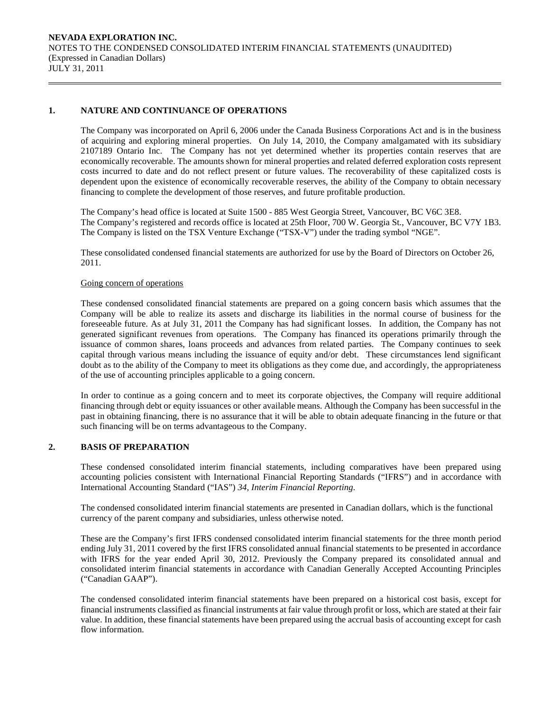## **1. NATURE AND CONTINUANCE OF OPERATIONS**

The Company was incorporated on April 6, 2006 under the Canada Business Corporations Act and is in the business of acquiring and exploring mineral properties. On July 14, 2010, the Company amalgamated with its subsidiary 2107189 Ontario Inc. The Company has not yet determined whether its properties contain reserves that are economically recoverable. The amounts shown for mineral properties and related deferred exploration costs represent costs incurred to date and do not reflect present or future values. The recoverability of these capitalized costs is dependent upon the existence of economically recoverable reserves, the ability of the Company to obtain necessary financing to complete the development of those reserves, and future profitable production.

The Company's head office is located at Suite 1500 - 885 West Georgia Street, Vancouver, BC V6C 3E8. The Company's registered and records office is located at 25th Floor, 700 W. Georgia St., Vancouver, BC V7Y 1B3. The Company is listed on the TSX Venture Exchange ("TSX-V") under the trading symbol "NGE".

 These consolidated condensed financial statements are authorized for use by the Board of Directors on October 26, 2011.

#### Going concern of operations

These condensed consolidated financial statements are prepared on a going concern basis which assumes that the Company will be able to realize its assets and discharge its liabilities in the normal course of business for the foreseeable future. As at July 31, 2011 the Company has had significant losses. In addition, the Company has not generated significant revenues from operations. The Company has financed its operations primarily through the issuance of common shares, loans proceeds and advances from related parties. The Company continues to seek capital through various means including the issuance of equity and/or debt. These circumstances lend significant doubt as to the ability of the Company to meet its obligations as they come due, and accordingly, the appropriateness of the use of accounting principles applicable to a going concern.

In order to continue as a going concern and to meet its corporate objectives, the Company will require additional financing through debt or equity issuances or other available means. Although the Company has been successful in the past in obtaining financing, there is no assurance that it will be able to obtain adequate financing in the future or that such financing will be on terms advantageous to the Company.

# **2. BASIS OF PREPARATION**

 These condensed consolidated interim financial statements, including comparatives have been prepared using accounting policies consistent with International Financial Reporting Standards ("IFRS") and in accordance with International Accounting Standard ("IAS") *34, Interim Financial Reporting.* 

The condensed consolidated interim financial statements are presented in Canadian dollars, which is the functional currency of the parent company and subsidiaries, unless otherwise noted.

 These are the Company's first IFRS condensed consolidated interim financial statements for the three month period ending July 31, 2011 covered by the first IFRS consolidated annual financial statements to be presented in accordance with IFRS for the year ended April 30, 2012. Previously the Company prepared its consolidated annual and consolidated interim financial statements in accordance with Canadian Generally Accepted Accounting Principles ("Canadian GAAP").

The condensed consolidated interim financial statements have been prepared on a historical cost basis, except for financial instruments classified as financial instruments at fair value through profit or loss, which are stated at their fair value. In addition, these financial statements have been prepared using the accrual basis of accounting except for cash flow information.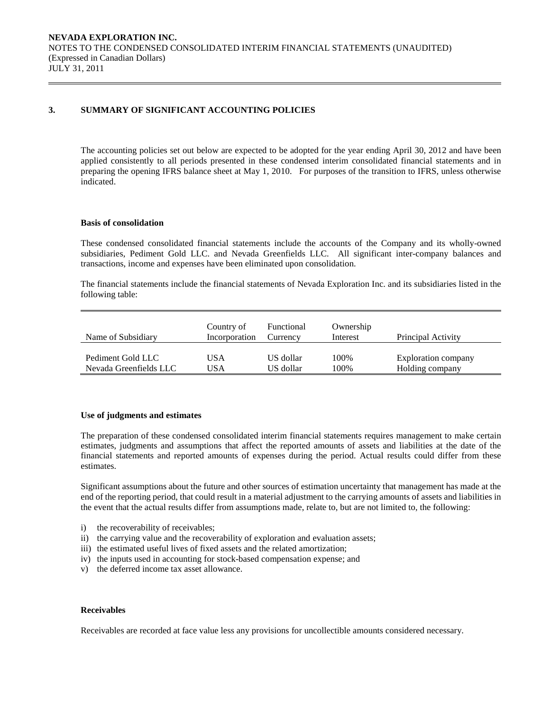## **3. SUMMARY OF SIGNIFICANT ACCOUNTING POLICIES**

 The accounting policies set out below are expected to be adopted for the year ending April 30, 2012 and have been applied consistently to all periods presented in these condensed interim consolidated financial statements and in preparing the opening IFRS balance sheet at May 1, 2010. For purposes of the transition to IFRS, unless otherwise indicated.

#### **Basis of consolidation**

 These condensed consolidated financial statements include the accounts of the Company and its wholly-owned subsidiaries, Pediment Gold LLC. and Nevada Greenfields LLC. All significant inter-company balances and transactions, income and expenses have been eliminated upon consolidation.

The financial statements include the financial statements of Nevada Exploration Inc. and its subsidiaries listed in the following table:

| Name of Subsidiary     | Country of<br>Incorporation | Functional<br>Currency | Ownership<br>Interest | Principal Activity  |
|------------------------|-----------------------------|------------------------|-----------------------|---------------------|
| Pediment Gold LLC      | USA                         | US dollar              | 100%                  | Exploration company |
| Nevada Greenfields LLC | JSA                         | US dollar              | 100%                  | Holding company     |

#### **Use of judgments and estimates**

The preparation of these condensed consolidated interim financial statements requires management to make certain estimates, judgments and assumptions that affect the reported amounts of assets and liabilities at the date of the financial statements and reported amounts of expenses during the period. Actual results could differ from these estimates.

 Significant assumptions about the future and other sources of estimation uncertainty that management has made at the end of the reporting period, that could result in a material adjustment to the carrying amounts of assets and liabilities in the event that the actual results differ from assumptions made, relate to, but are not limited to, the following:

- i) the recoverability of receivables;
- ii) the carrying value and the recoverability of exploration and evaluation assets;
- iii) the estimated useful lives of fixed assets and the related amortization;
- iv) the inputs used in accounting for stock-based compensation expense; and
- v) the deferred income tax asset allowance.

### **Receivables**

Receivables are recorded at face value less any provisions for uncollectible amounts considered necessary.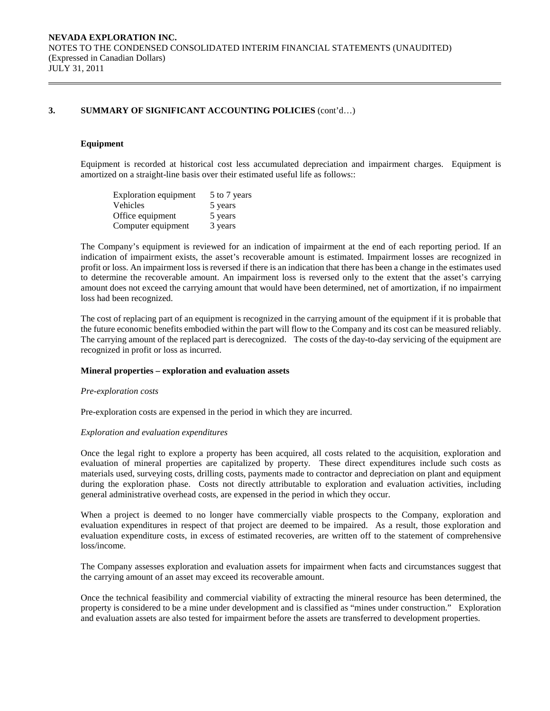#### **Equipment**

Equipment is recorded at historical cost less accumulated depreciation and impairment charges. Equipment is amortized on a straight-line basis over their estimated useful life as follows::

| <b>Exploration equipment</b> | 5 to 7 years |
|------------------------------|--------------|
| Vehicles                     | 5 years      |
| Office equipment             | 5 years      |
| Computer equipment           | 3 years      |

The Company's equipment is reviewed for an indication of impairment at the end of each reporting period. If an indication of impairment exists, the asset's recoverable amount is estimated. Impairment losses are recognized in profit or loss. An impairment loss is reversed if there is an indication that there has been a change in the estimates used to determine the recoverable amount. An impairment loss is reversed only to the extent that the asset's carrying amount does not exceed the carrying amount that would have been determined, net of amortization, if no impairment loss had been recognized.

The cost of replacing part of an equipment is recognized in the carrying amount of the equipment if it is probable that the future economic benefits embodied within the part will flow to the Company and its cost can be measured reliably. The carrying amount of the replaced part is derecognized. The costs of the day-to-day servicing of the equipment are recognized in profit or loss as incurred.

#### **Mineral properties – exploration and evaluation assets**

#### *Pre-exploration costs*

Pre-exploration costs are expensed in the period in which they are incurred.

#### *Exploration and evaluation expenditures*

 Once the legal right to explore a property has been acquired, all costs related to the acquisition, exploration and evaluation of mineral properties are capitalized by property. These direct expenditures include such costs as materials used, surveying costs, drilling costs, payments made to contractor and depreciation on plant and equipment during the exploration phase. Costs not directly attributable to exploration and evaluation activities, including general administrative overhead costs, are expensed in the period in which they occur.

 When a project is deemed to no longer have commercially viable prospects to the Company, exploration and evaluation expenditures in respect of that project are deemed to be impaired. As a result, those exploration and evaluation expenditure costs, in excess of estimated recoveries, are written off to the statement of comprehensive loss/income.

 The Company assesses exploration and evaluation assets for impairment when facts and circumstances suggest that the carrying amount of an asset may exceed its recoverable amount.

 Once the technical feasibility and commercial viability of extracting the mineral resource has been determined, the property is considered to be a mine under development and is classified as "mines under construction." Exploration and evaluation assets are also tested for impairment before the assets are transferred to development properties.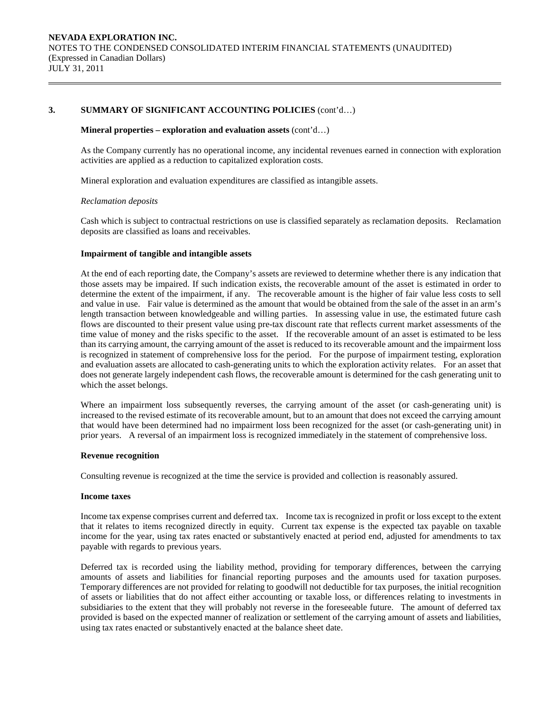#### **Mineral properties – exploration and evaluation assets** (cont'd…)

 As the Company currently has no operational income, any incidental revenues earned in connection with exploration activities are applied as a reduction to capitalized exploration costs.

Mineral exploration and evaluation expenditures are classified as intangible assets.

#### *Reclamation deposits*

 Cash which is subject to contractual restrictions on use is classified separately as reclamation deposits. Reclamation deposits are classified as loans and receivables.

#### **Impairment of tangible and intangible assets**

At the end of each reporting date, the Company's assets are reviewed to determine whether there is any indication that those assets may be impaired. If such indication exists, the recoverable amount of the asset is estimated in order to determine the extent of the impairment, if any. The recoverable amount is the higher of fair value less costs to sell and value in use. Fair value is determined as the amount that would be obtained from the sale of the asset in an arm's length transaction between knowledgeable and willing parties. In assessing value in use, the estimated future cash flows are discounted to their present value using pre-tax discount rate that reflects current market assessments of the time value of money and the risks specific to the asset. If the recoverable amount of an asset is estimated to be less than its carrying amount, the carrying amount of the asset is reduced to its recoverable amount and the impairment loss is recognized in statement of comprehensive loss for the period. For the purpose of impairment testing, exploration and evaluation assets are allocated to cash-generating units to which the exploration activity relates. For an asset that does not generate largely independent cash flows, the recoverable amount is determined for the cash generating unit to which the asset belongs.

Where an impairment loss subsequently reverses, the carrying amount of the asset (or cash-generating unit) is increased to the revised estimate of its recoverable amount, but to an amount that does not exceed the carrying amount that would have been determined had no impairment loss been recognized for the asset (or cash-generating unit) in prior years. A reversal of an impairment loss is recognized immediately in the statement of comprehensive loss.

#### **Revenue recognition**

Consulting revenue is recognized at the time the service is provided and collection is reasonably assured.

#### **Income taxes**

Income tax expense comprises current and deferred tax. Income tax is recognized in profit or loss except to the extent that it relates to items recognized directly in equity. Current tax expense is the expected tax payable on taxable income for the year, using tax rates enacted or substantively enacted at period end, adjusted for amendments to tax payable with regards to previous years.

Deferred tax is recorded using the liability method, providing for temporary differences, between the carrying amounts of assets and liabilities for financial reporting purposes and the amounts used for taxation purposes. Temporary differences are not provided for relating to goodwill not deductible for tax purposes, the initial recognition of assets or liabilities that do not affect either accounting or taxable loss, or differences relating to investments in subsidiaries to the extent that they will probably not reverse in the foreseeable future. The amount of deferred tax provided is based on the expected manner of realization or settlement of the carrying amount of assets and liabilities, using tax rates enacted or substantively enacted at the balance sheet date.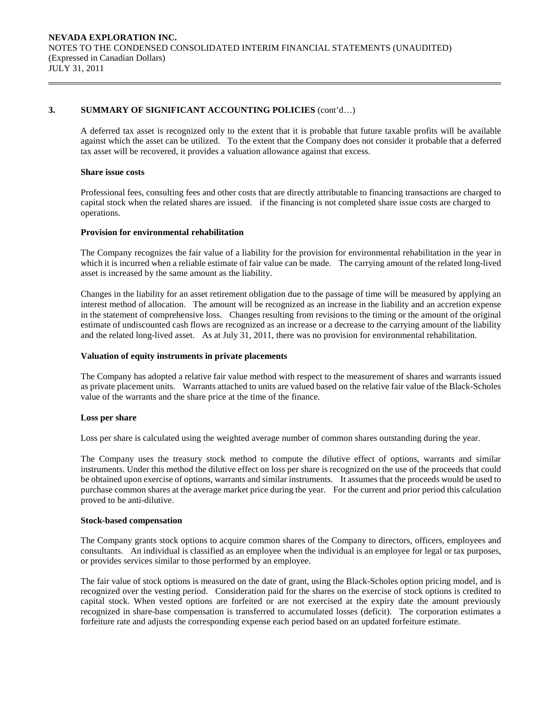A deferred tax asset is recognized only to the extent that it is probable that future taxable profits will be available against which the asset can be utilized. To the extent that the Company does not consider it probable that a deferred tax asset will be recovered, it provides a valuation allowance against that excess.

#### **Share issue costs**

 Professional fees, consulting fees and other costs that are directly attributable to financing transactions are charged to capital stock when the related shares are issued. if the financing is not completed share issue costs are charged to operations.

#### **Provision for environmental rehabilitation**

The Company recognizes the fair value of a liability for the provision for environmental rehabilitation in the year in which it is incurred when a reliable estimate of fair value can be made. The carrying amount of the related long-lived asset is increased by the same amount as the liability.

Changes in the liability for an asset retirement obligation due to the passage of time will be measured by applying an interest method of allocation. The amount will be recognized as an increase in the liability and an accretion expense in the statement of comprehensive loss. Changes resulting from revisions to the timing or the amount of the original estimate of undiscounted cash flows are recognized as an increase or a decrease to the carrying amount of the liability and the related long-lived asset. As at July 31, 2011, there was no provision for environmental rehabilitation.

#### **Valuation of equity instruments in private placements**

The Company has adopted a relative fair value method with respect to the measurement of shares and warrants issued as private placement units. Warrants attached to units are valued based on the relative fair value of the Black-Scholes value of the warrants and the share price at the time of the finance.

#### **Loss per share**

Loss per share is calculated using the weighted average number of common shares outstanding during the year.

 The Company uses the treasury stock method to compute the dilutive effect of options, warrants and similar instruments. Under this method the dilutive effect on loss per share is recognized on the use of the proceeds that could be obtained upon exercise of options, warrants and similar instruments. It assumes that the proceeds would be used to purchase common shares at the average market price during the year. For the current and prior period this calculation proved to be anti-dilutive.

#### **Stock-based compensation**

The Company grants stock options to acquire common shares of the Company to directors, officers, employees and consultants. An individual is classified as an employee when the individual is an employee for legal or tax purposes, or provides services similar to those performed by an employee.

The fair value of stock options is measured on the date of grant, using the Black-Scholes option pricing model, and is recognized over the vesting period. Consideration paid for the shares on the exercise of stock options is credited to capital stock. When vested options are forfeited or are not exercised at the expiry date the amount previously recognized in share-base compensation is transferred to accumulated losses (deficit). The corporation estimates a forfeiture rate and adjusts the corresponding expense each period based on an updated forfeiture estimate.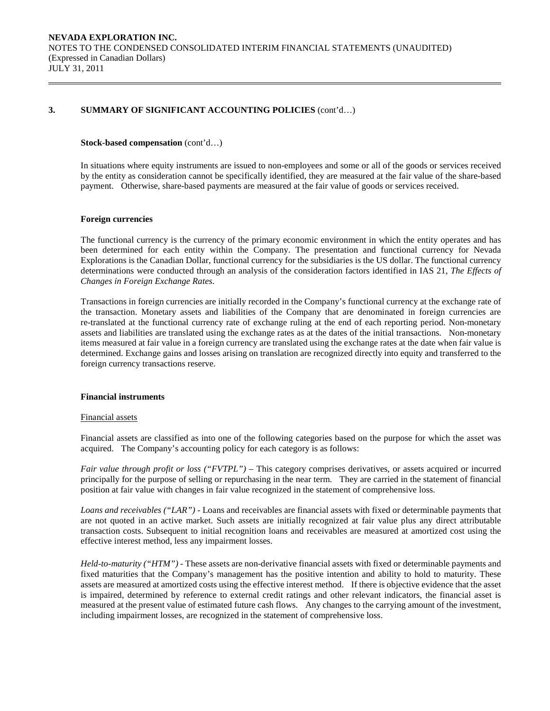#### **Stock-based compensation** (cont'd…)

In situations where equity instruments are issued to non-employees and some or all of the goods or services received by the entity as consideration cannot be specifically identified, they are measured at the fair value of the share-based payment. Otherwise, share-based payments are measured at the fair value of goods or services received.

#### **Foreign currencies**

 The functional currency is the currency of the primary economic environment in which the entity operates and has been determined for each entity within the Company. The presentation and functional currency for Nevada Explorations is the Canadian Dollar, functional currency for the subsidiaries is the US dollar. The functional currency determinations were conducted through an analysis of the consideration factors identified in IAS 21, *The Effects of Changes in Foreign Exchange Rates*.

 Transactions in foreign currencies are initially recorded in the Company's functional currency at the exchange rate of the transaction. Monetary assets and liabilities of the Company that are denominated in foreign currencies are re-translated at the functional currency rate of exchange ruling at the end of each reporting period. Non-monetary assets and liabilities are translated using the exchange rates as at the dates of the initial transactions. Non-monetary items measured at fair value in a foreign currency are translated using the exchange rates at the date when fair value is determined. Exchange gains and losses arising on translation are recognized directly into equity and transferred to the foreign currency transactions reserve.

#### **Financial instruments**

#### Financial assets

Financial assets are classified as into one of the following categories based on the purpose for which the asset was acquired. The Company's accounting policy for each category is as follows:

*Fair value through profit or loss ("FVTPL")* – This category comprises derivatives, or assets acquired or incurred principally for the purpose of selling or repurchasing in the near term. They are carried in the statement of financial position at fair value with changes in fair value recognized in the statement of comprehensive loss.

*Loans and receivables ("LAR") -* Loans and receivables are financial assets with fixed or determinable payments that are not quoted in an active market. Such assets are initially recognized at fair value plus any direct attributable transaction costs. Subsequent to initial recognition loans and receivables are measured at amortized cost using the effective interest method, less any impairment losses.

*Held-to-maturity ("HTM") -* These assets are non-derivative financial assets with fixed or determinable payments and fixed maturities that the Company's management has the positive intention and ability to hold to maturity. These assets are measured at amortized costs using the effective interest method. If there is objective evidence that the asset is impaired, determined by reference to external credit ratings and other relevant indicators, the financial asset is measured at the present value of estimated future cash flows. Any changes to the carrying amount of the investment, including impairment losses, are recognized in the statement of comprehensive loss.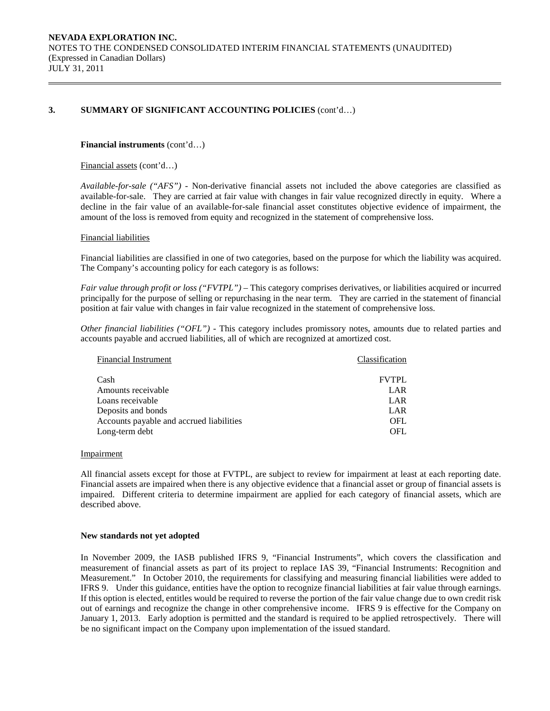#### **Financial instruments** (cont'd…)

Financial assets (cont'd…)

*Available-for-sale ("AFS") -* Non-derivative financial assets not included the above categories are classified as available-for-sale. They are carried at fair value with changes in fair value recognized directly in equity. Where a decline in the fair value of an available-for-sale financial asset constitutes objective evidence of impairment, the amount of the loss is removed from equity and recognized in the statement of comprehensive loss.

#### Financial liabilities

Financial liabilities are classified in one of two categories, based on the purpose for which the liability was acquired. The Company's accounting policy for each category is as follows:

*Fair value through profit or loss ("FVTPL")* – This category comprises derivatives, or liabilities acquired or incurred principally for the purpose of selling or repurchasing in the near term. They are carried in the statement of financial position at fair value with changes in fair value recognized in the statement of comprehensive loss.

*Other financial liabilities ("OFL") -* This category includes promissory notes, amounts due to related parties and accounts payable and accrued liabilities, all of which are recognized at amortized cost.

| <b>Financial Instrument</b>              | Classification |
|------------------------------------------|----------------|
| Cash                                     | <b>FVTPL</b>   |
| Amounts receivable                       | LAR            |
| Loans receivable                         | LAR            |
| Deposits and bonds                       | LAR            |
| Accounts payable and accrued liabilities | <b>OFL</b>     |
| Long-term debt                           | OFL.           |

#### **Impairment**

All financial assets except for those at FVTPL, are subject to review for impairment at least at each reporting date. Financial assets are impaired when there is any objective evidence that a financial asset or group of financial assets is impaired. Different criteria to determine impairment are applied for each category of financial assets, which are described above.

#### **New standards not yet adopted**

In November 2009, the IASB published IFRS 9, "Financial Instruments", which covers the classification and measurement of financial assets as part of its project to replace IAS 39, "Financial Instruments: Recognition and Measurement." In October 2010, the requirements for classifying and measuring financial liabilities were added to IFRS 9. Under this guidance, entities have the option to recognize financial liabilities at fair value through earnings. If this option is elected, entitles would be required to reverse the portion of the fair value change due to own credit risk out of earnings and recognize the change in other comprehensive income. IFRS 9 is effective for the Company on January 1, 2013. Early adoption is permitted and the standard is required to be applied retrospectively. There will be no significant impact on the Company upon implementation of the issued standard.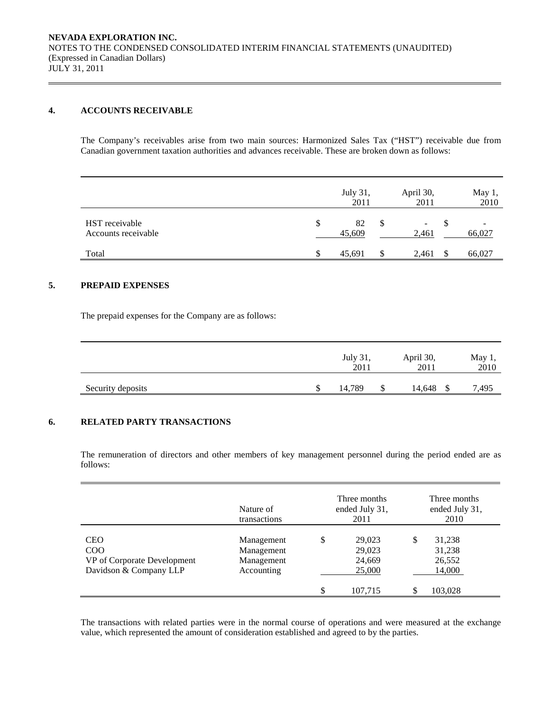# **4. ACCOUNTS RECEIVABLE**

The Company's receivables arise from two main sources: Harmonized Sales Tax ("HST") receivable due from Canadian government taxation authorities and advances receivable. These are broken down as follows:

|                                       |               | July 31,<br>2011 |               | April 30,<br>2011                 | May 1,<br>2010 |
|---------------------------------------|---------------|------------------|---------------|-----------------------------------|----------------|
| HST receivable<br>Accounts receivable | <sup>\$</sup> | 82<br>45,609     | <sup>\$</sup> | $\overline{\phantom{a}}$<br>2,461 | -<br>66,027    |
| Total                                 | \$            | 45,691           | S             | 2,461                             | 66,027         |

## **5. PREPAID EXPENSES**

The prepaid expenses for the Company are as follows:

|                   | July 31,<br>2011 |   | April 30,<br>2011 | May $1,$<br>2010 |  |
|-------------------|------------------|---|-------------------|------------------|--|
| Security deposits | 14.789           | J | 14,648<br>۰D      | 7.495            |  |

### **6. RELATED PARTY TRANSACTIONS**

 The remuneration of directors and other members of key management personnel during the period ended are as follows:

|                                                                            | Nature of<br>transactions                            | Three months<br>ended July 31,<br>2011     | Three months<br>ended July 31,<br>2010     |
|----------------------------------------------------------------------------|------------------------------------------------------|--------------------------------------------|--------------------------------------------|
| <b>CEO</b><br>COO<br>VP of Corporate Development<br>Davidson & Company LLP | Management<br>Management<br>Management<br>Accounting | \$<br>29,023<br>29,023<br>24,669<br>25,000 | \$<br>31,238<br>31,238<br>26,552<br>14,000 |
|                                                                            |                                                      | \$<br>107,715                              | 103,028                                    |

 The transactions with related parties were in the normal course of operations and were measured at the exchange value, which represented the amount of consideration established and agreed to by the parties.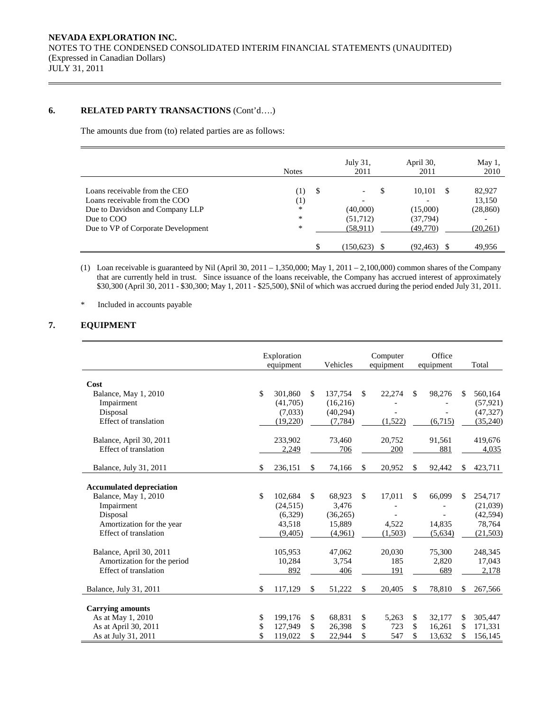## **6. RELATED PARTY TRANSACTIONS** (Cont'd….)

The amounts due from (to) related parties are as follows:

|                                    | <b>Notes</b> |   | July 31,<br>2011              | April 30,<br>2011 |   | May 1,<br>2010 |
|------------------------------------|--------------|---|-------------------------------|-------------------|---|----------------|
| Loans receivable from the CEO      | (1)          | S | S<br>$\overline{\phantom{a}}$ | 10,101            | S | 82,927         |
| Loans receivable from the COO      | (1)          |   | $\overline{\phantom{0}}$      |                   |   | 13,150         |
| Due to Davidson and Company LLP    | *            |   | (40,000)                      | (15,000)          |   | (28, 860)      |
| Due to COO                         | $\ast$       |   | (51, 712)                     | (37, 794)         |   |                |
| Due to VP of Corporate Development | $\ast$       |   | (58, 911)                     | (49,770)          |   | (20,261)       |
|                                    |              |   | (150, 623)                    | (92, 463)         |   | 49,956         |

(1) Loan receivable is guaranteed by Nil (April 30, 2011 – 1,350,000; May 1, 2011 – 2,100,000) common shares of the Company that are currently held in trust. Since issuance of the loans receivable, the Company has accrued interest of approximately \$30,300 (April 30, 2011 - \$30,300; May 1, 2011 - \$25,500), \$Nil of which was accrued during the period ended July 31, 2011.

\* Included in accounts payable

## **7. EQUIPMENT**

|                                 | Exploration<br>equipment | Vehicles      |               | Computer<br>equipment |     | Office<br>equipment |     | Total     |
|---------------------------------|--------------------------|---------------|---------------|-----------------------|-----|---------------------|-----|-----------|
| Cost                            |                          |               |               |                       |     |                     |     |           |
| Balance, May 1, 2010            | \$<br>301.860            | \$<br>137,754 | <sup>\$</sup> | 22,274                | \$. | 98,276              | \$. | 560,164   |
| Impairment                      | (41,705)                 | (16,216)      |               |                       |     |                     |     | (57, 921) |
| Disposal                        | (7,033)                  | (40,294)      |               |                       |     |                     |     | (47, 327) |
| Effect of translation           | (19,220)                 | (7, 784)      |               | (1,522)               |     | (6,715)             |     | (35,240)  |
| Balance, April 30, 2011         | 233,902                  | 73,460        |               | 20,752                |     | 91,561              |     | 419,676   |
| Effect of translation           | 2,249                    | 706           |               | 200                   |     | 881                 |     | 4,035     |
| Balance, July 31, 2011          | \$<br>236,151            | \$<br>74,166  | \$            | 20,952                | \$  | 92,442              | \$  | 423,711   |
| <b>Accumulated depreciation</b> |                          |               |               |                       |     |                     |     |           |
| Balance, May 1, 2010            | \$<br>102,684            | \$<br>68,923  | \$            | 17,011                | \$. | 66,099              | \$. | 254,717   |
| Impairment                      | (24, 515)                | 3,476         |               |                       |     |                     |     | (21,039)  |
| Disposal                        | (6,329)                  | (36, 265)     |               |                       |     |                     |     | (42, 594) |
| Amortization for the year       | 43,518                   | 15,889        |               | 4,522                 |     | 14,835              |     | 78,764    |
| <b>Effect of translation</b>    | (9,405)                  | (4,961)       |               | (1,503)               |     | (5,634)             |     | (21,503)  |
| Balance, April 30, 2011         | 105,953                  | 47,062        |               | 20,030                |     | 75,300              |     | 248,345   |
| Amortization for the period     | 10,284                   | 3,754         |               | 185                   |     | 2,820               |     | 17,043    |
| Effect of translation           | 892                      | 406           |               | 191                   |     | 689                 |     | 2,178     |
| Balance, July 31, 2011          | \$<br>117,129            | \$<br>51,222  | \$            | 20,405                | \$. | 78,810              |     | 267,566   |
| <b>Carrying amounts</b>         |                          |               |               |                       |     |                     |     |           |
| As at May 1, 2010               | \$<br>199,176            | \$<br>68,831  | \$            | 5,263                 | \$  | 32,177              | \$  | 305,447   |
| As at April 30, 2011            | \$<br>127,949            | \$<br>26,398  | \$            | 723                   | \$  | 16.261              | \$  | 171,331   |
| As at July 31, 2011             | \$<br>119,022            | \$<br>22,944  | \$            | 547                   | \$  | 13,632              | \$  | 156,145   |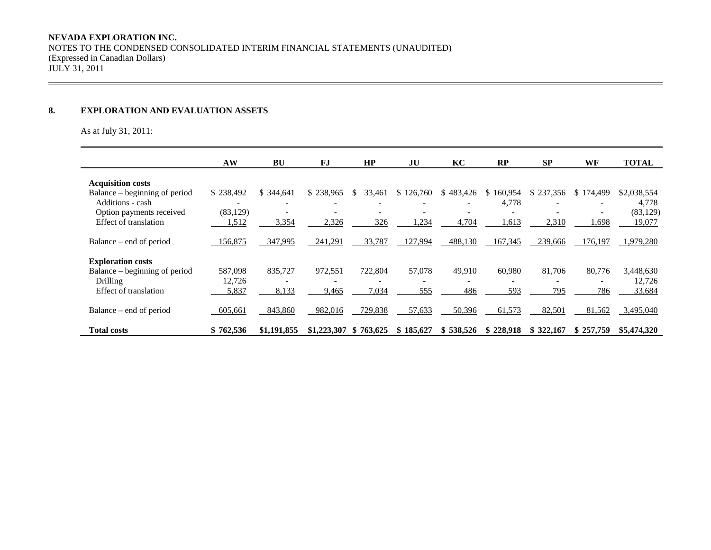# **8. EXPLORATION AND EVALUATION ASSETS**

As at July 31, 2011:

|                               | AW        | BU          | FJ          | HP            | JU                       | KC                       | RP            | <b>SP</b>                | WF                       | <b>TOTAL</b> |
|-------------------------------|-----------|-------------|-------------|---------------|--------------------------|--------------------------|---------------|--------------------------|--------------------------|--------------|
| <b>Acquisition costs</b>      |           |             |             |               |                          |                          |               |                          |                          |              |
| Balance – beginning of period | \$238,492 | \$ 344,641  | \$238,965   | 33,461<br>\$. | \$126,760                | \$483,426                | 160,954<br>S. | \$237,356                | \$174,499                | \$2,038,554  |
| Additions - cash              |           |             |             |               |                          |                          | 4,778         |                          |                          | 4,778        |
| Option payments received      | (83, 129) |             |             |               |                          |                          |               |                          |                          | (83, 129)    |
| Effect of translation         | 1,512     | 3,354       | 2,326       | 326           | 1,234                    | 4,704                    | 1,613         | 2,310                    | 1,698                    | 19,077       |
| Balance – end of period       | 156,875   | 347,995     | 241,291     | 33,787        | 127,994                  | 488,130                  | 167,345       | 239,666                  | 176,197                  | 1,979,280    |
| <b>Exploration costs</b>      |           |             |             |               |                          |                          |               |                          |                          |              |
| Balance – beginning of period | 587,098   | 835,727     | 972,551     | 722,804       | 57,078                   | 49,910                   | 60,980        | 81,706                   | 80,776                   | 3,448,630    |
| <b>Drilling</b>               | 12,726    |             |             |               | $\overline{\phantom{a}}$ | $\overline{\phantom{a}}$ |               | $\overline{\phantom{a}}$ | $\overline{\phantom{0}}$ | 12,726       |
| Effect of translation         | 5,837     | 8,133       | 9,465       | 7,034         | 555                      | 486                      | 593           | 795                      | 786                      | 33,684       |
| Balance – end of period       | 605,661   | 843,860     | 982,016     | 729,838       | 57,633                   | 50,396                   | 61,573        | 82,501                   | 81,562                   | 3,495,040    |
| <b>Total costs</b>            | \$762,536 | \$1,191,855 | \$1,223,307 | \$763,625     | \$185,627                | \$538,526                | \$228,918     | \$322,167                | \$257,759                | \$5,474,320  |

,我们也不会有什么。""我们的人,我们也不会有什么?""我们的人,我们也不会有什么?""我们的人,我们也不会有什么?""我们的人,我们也不会有什么?""我们的人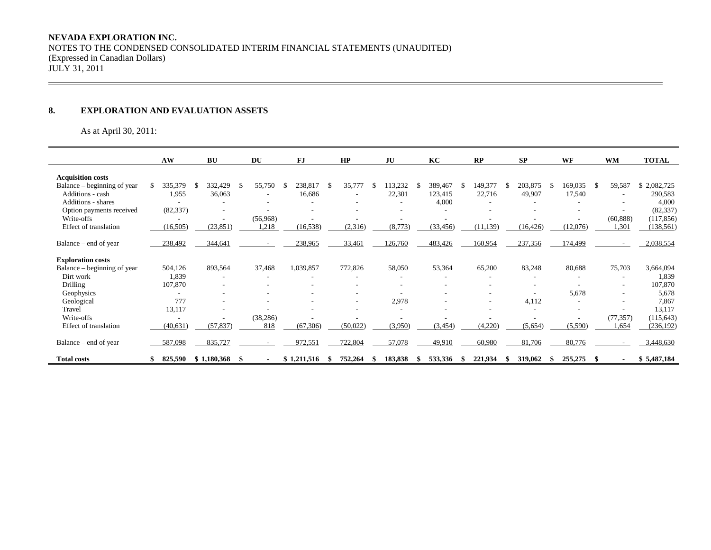# **8. EXPLORATION AND EVALUATION ASSETS**

As at April 30, 2011:

|                             | AW        | BU          |    | DU        |    | FJ          |      | HP       |   | JU      | KC            |      | RP        | <b>SP</b> | WF       |    | <b>WM</b>                | <b>TOTAL</b> |
|-----------------------------|-----------|-------------|----|-----------|----|-------------|------|----------|---|---------|---------------|------|-----------|-----------|----------|----|--------------------------|--------------|
| <b>Acquisition costs</b>    |           |             |    |           |    |             |      |          |   |         |               |      |           |           |          |    |                          |              |
| Balance – beginning of year | 335,379   | 332,429     | \$ | 55,750    | -S | 238,817     | - \$ | 35,777   | S | 113,232 | \$<br>389,467 | S    | 149,377   | 203,875   | 169,035  | S. | 59,587                   | \$2,082,725  |
| Additions - cash            | 1,955     | 36,063      |    | ٠         |    | 16,686      |      |          |   | 22,301  | 123,415       |      | 22,716    | 49,907    | 17,540   |    | $\overline{\phantom{a}}$ | 290,583      |
| <b>Additions - shares</b>   |           |             |    |           |    |             |      |          |   | ٠       | 4,000         |      |           |           |          |    |                          | 4,000        |
| Option payments received    | (82, 337) |             |    |           |    |             |      |          |   |         |               |      |           |           |          |    |                          | (82, 337)    |
| Write-offs                  |           |             |    | (56,968)  |    |             |      |          |   |         |               |      |           |           |          |    | (60, 888)                | (117, 856)   |
| Effect of translation       | (16, 505) | (23, 851)   |    | 1,218     |    | (16, 538)   |      | (2,316)  |   | (8,773) | (33, 456)     |      | (11, 139) | (16, 426) | (12,076) |    | 1,301                    | (138, 561)   |
| Balance – end of year       | 238,492   | 344,641     |    |           |    | 238,965     |      | 33,461   |   | 126,760 | 483,426       |      | 160,954   | 237,356   | 174,499  |    | $\sim$                   | 2,038,554    |
| <b>Exploration costs</b>    |           |             |    |           |    |             |      |          |   |         |               |      |           |           |          |    |                          |              |
| Balance – beginning of year | 504,126   | 893,564     |    | 37,468    |    | 1,039,857   |      | 772,826  |   | 58,050  | 53,364        |      | 65,200    | 83,248    | 80,688   |    | 75,703                   | 3,664,094    |
| Dirt work                   | 1,839     | $\sim$      |    |           |    |             |      |          |   | ٠       |               |      |           |           |          |    |                          | 1,839        |
| Drilling                    | 107,870   |             |    |           |    |             |      |          |   | ٠       |               |      |           |           |          |    | $\overline{\phantom{a}}$ | 107,870      |
| Geophysics                  |           |             |    |           |    |             |      |          |   |         |               |      |           |           | 5,678    |    | $\overline{\phantom{a}}$ | 5,678        |
| Geological                  | 777       | ۰           |    | ۰         |    |             |      | ۰.       |   | 2,978   |               |      | ۰         | 4,112     |          |    | $\sim$                   | 7,867        |
| Travel                      | 13,117    |             |    |           |    |             |      |          |   |         |               |      |           |           |          |    |                          | 13,117       |
| Write-offs                  |           |             |    | (38, 286) |    |             |      |          |   |         |               |      |           |           |          |    | (77, 357)                | (115, 643)   |
| Effect of translation       | (40, 631) | (57, 837)   |    | 818       |    | (67,306)    |      | (50,022) |   | (3,950) | (3, 454)      |      | (4,220)   | (5,654)   | (5,590)  |    | 1,654                    | (236, 192)   |
| Balance – end of year       | 587,098   | 835,727     |    |           |    | 972,551     |      | 722,804  |   | 57,078  | 49,910        |      | 60,980    | 81,706    | 80,776   |    |                          | 3,448,630    |
| <b>Total costs</b>          | 825,590   | \$1,180,368 | -S |           |    | \$1,211,516 |      | 752,264  |   | 183,838 | 533,336       | - 55 | 221,934   | 319,062   | 255,275  | S  |                          | \$5,487,184  |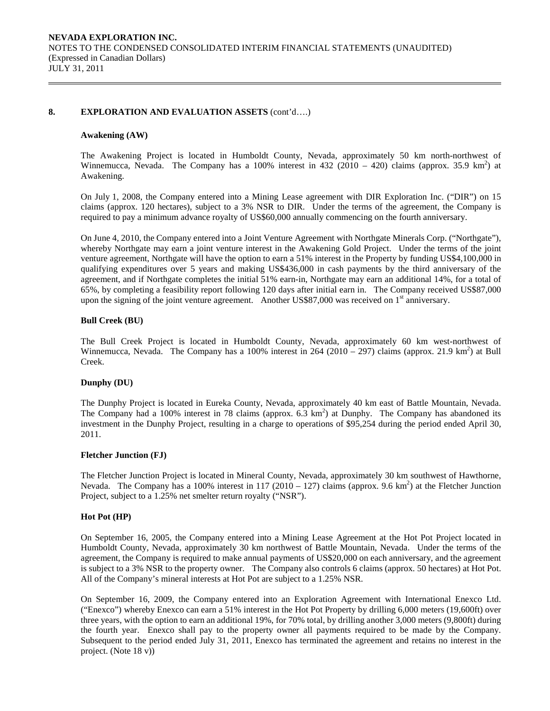#### **8. EXPLORATION AND EVALUATION ASSETS** (cont'd….)

#### **Awakening (AW)**

The Awakening Project is located in Humboldt County, Nevada, approximately 50 km north-northwest of Winnemucca, Nevada. The Company has a 100% interest in 432 (2010 – 420) claims (approx. 35.9 km<sup>2</sup>) at Awakening.

On July 1, 2008, the Company entered into a Mining Lease agreement with DIR Exploration Inc. ("DIR") on 15 claims (approx. 120 hectares), subject to a 3% NSR to DIR. Under the terms of the agreement, the Company is required to pay a minimum advance royalty of US\$60,000 annually commencing on the fourth anniversary.

On June 4, 2010, the Company entered into a Joint Venture Agreement with Northgate Minerals Corp. ("Northgate"), whereby Northgate may earn a joint venture interest in the Awakening Gold Project. Under the terms of the joint venture agreement, Northgate will have the option to earn a 51% interest in the Property by funding US\$4,100,000 in qualifying expenditures over 5 years and making US\$436,000 in cash payments by the third anniversary of the agreement, and if Northgate completes the initial 51% earn-in, Northgate may earn an additional 14%, for a total of 65%, by completing a feasibility report following 120 days after initial earn in. The Company received US\$87,000 upon the signing of the joint venture agreement. Another US\$87,000 was received on  $1<sup>st</sup>$  anniversary.

#### **Bull Creek (BU)**

The Bull Creek Project is located in Humboldt County, Nevada, approximately 60 km west-northwest of Winnemucca, Nevada. The Company has a 100% interest in  $264 (2010 - 297)$  claims (approx. 21.9 km<sup>2</sup>) at Bull Creek.

#### **Dunphy (DU)**

The Dunphy Project is located in Eureka County, Nevada, approximately 40 km east of Battle Mountain, Nevada. The Company had a 100% interest in 78 claims (approx.  $6.3 \text{ km}^2$ ) at Dunphy. The Company has abandoned its investment in the Dunphy Project, resulting in a charge to operations of \$95,254 during the period ended April 30, 2011.

#### **Fletcher Junction (FJ)**

The Fletcher Junction Project is located in Mineral County, Nevada, approximately 30 km southwest of Hawthorne, Nevada. The Company has a 100% interest in 117 (2010 – 127) claims (approx. 9.6 km<sup>2</sup>) at the Fletcher Junction Project, subject to a 1.25% net smelter return royalty ("NSR").

#### **Hot Pot (HP)**

On September 16, 2005, the Company entered into a Mining Lease Agreement at the Hot Pot Project located in Humboldt County, Nevada, approximately 30 km northwest of Battle Mountain, Nevada. Under the terms of the agreement, the Company is required to make annual payments of US\$20,000 on each anniversary, and the agreement is subject to a 3% NSR to the property owner. The Company also controls 6 claims (approx. 50 hectares) at Hot Pot. All of the Company's mineral interests at Hot Pot are subject to a 1.25% NSR.

On September 16, 2009, the Company entered into an Exploration Agreement with International Enexco Ltd. ("Enexco") whereby Enexco can earn a 51% interest in the Hot Pot Property by drilling 6,000 meters (19,600ft) over three years, with the option to earn an additional 19%, for 70% total, by drilling another 3,000 meters (9,800ft) during the fourth year. Enexco shall pay to the property owner all payments required to be made by the Company. Subsequent to the period ended July 31, 2011, Enexco has terminated the agreement and retains no interest in the project. (Note 18 v))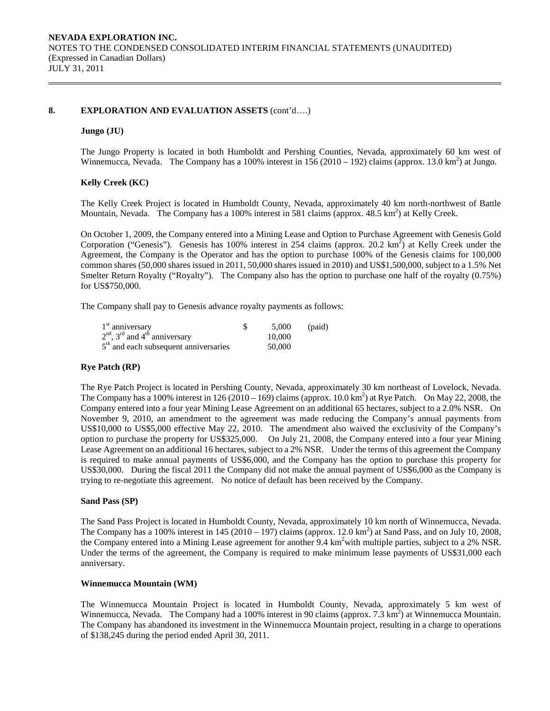### **8. EXPLORATION AND EVALUATION ASSETS** (cont'd….)

#### **Jungo (JU)**

The Jungo Property is located in both Humboldt and Pershing Counties, Nevada, approximately 60 km west of Winnemucca, Nevada. The Company has a 100% interest in  $156 (2010 - 192)$  claims (approx. 13.0 km<sup>2</sup>) at Jungo.

#### **Kelly Creek (KC)**

The Kelly Creek Project is located in Humboldt County, Nevada, approximately 40 km north-northwest of Battle Mountain, Nevada. The Company has a 100% interest in 581 claims (approx. 48.5 km<sup>2</sup>) at Kelly Creek.

On October 1, 2009, the Company entered into a Mining Lease and Option to Purchase Agreement with Genesis Gold Corporation ("Genesis"). Genesis has 100% interest in 254 claims (approx. 20.2 km<sup>2</sup>) at Kelly Creek under the Agreement, the Company is the Operator and has the option to purchase 100% of the Genesis claims for 100,000 common shares (50,000 shares issued in 2011, 50,000 shares issued in 2010) and US\$1,500,000, subject to a 1.5% Net Smelter Return Royalty ("Royalty"). The Company also has the option to purchase one half of the royalty (0.75%) for US\$750,000.

The Company shall pay to Genesis advance royalty payments as follows:

| $1st$ anniversary                       | 5.000  | (paid) |
|-----------------------------------------|--------|--------|
| $2nd$ , $3rd$ and $4th$ anniversary     | 10,000 |        |
| $5th$ and each subsequent anniversaries | 50,000 |        |

#### **Rye Patch (RP)**

The Rye Patch Project is located in Pershing County, Nevada, approximately 30 km northeast of Lovelock, Nevada. The Company has a 100% interest in 126 (2010 – 169) claims (approx. 10.0 km<sup>2</sup>) at Rye Patch. On May 22, 2008, the Company entered into a four year Mining Lease Agreement on an additional 65 hectares, subject to a 2.0% NSR. On November 9, 2010, an amendment to the agreement was made reducing the Company's annual payments from US\$10,000 to US\$5,000 effective May 22, 2010. The amendment also waived the exclusivity of the Company's option to purchase the property for US\$325,000. On July 21, 2008, the Company entered into a four year Mining Lease Agreement on an additional 16 hectares, subject to a 2% NSR. Under the terms of this agreement the Company is required to make annual payments of US\$6,000, and the Company has the option to purchase this property for US\$30,000. During the fiscal 2011 the Company did not make the annual payment of US\$6,000 as the Company is trying to re-negotiate this agreement. No notice of default has been received by the Company.

#### **Sand Pass (SP)**

The Sand Pass Project is located in Humboldt County, Nevada, approximately 10 km north of Winnemucca, Nevada. The Company has a 100% interest in  $145 (2010 - 197)$  claims (approx. 12.0 km<sup>2</sup>) at Sand Pass, and on July 10, 2008, the Company entered into a Mining Lease agreement for another 9.4  $km^2$ with multiple parties, subject to a 2% NSR. Under the terms of the agreement, the Company is required to make minimum lease payments of US\$31,000 each anniversary.

#### **Winnemucca Mountain (WM)**

The Winnemucca Mountain Project is located in Humboldt County, Nevada, approximately 5 km west of Winnemucca, Nevada. The Company had a 100% interest in 90 claims (approx. 7.3  $\text{km}^2$ ) at Winnemucca Mountain. The Company has abandoned its investment in the Winnemucca Mountain project, resulting in a charge to operations of \$138,245 during the period ended April 30, 2011.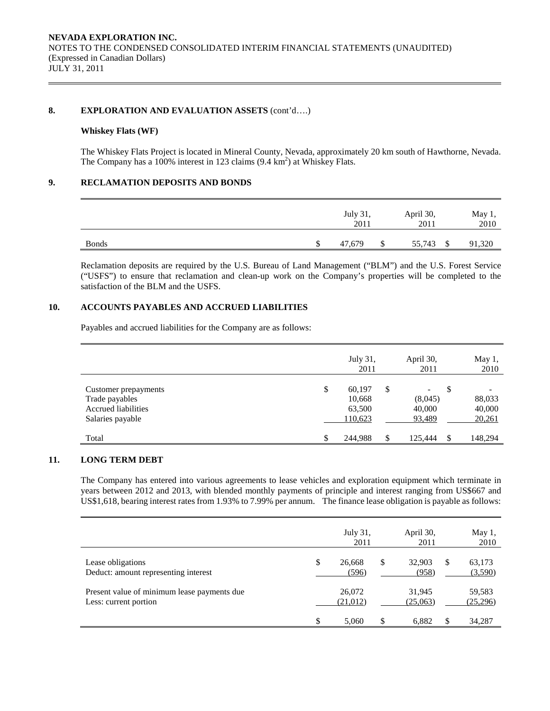#### 8. **EXPLORATION AND EVALUATION ASSETS** (cont'd....)

### **Whiskey Flats (WF)**

The Whiskey Flats Project is located in Mineral County, Nevada, approximately 20 km south of Hawthorne, Nevada. The Company has a 100% interest in 123 claims  $(9.4 \text{ km}^2)$  at Whiskey Flats.

## **9. RECLAMATION DEPOSITS AND BONDS**

|                       | July 31,<br>2011 | April 30,<br>2011 |      | May 1,<br>2010 |
|-----------------------|------------------|-------------------|------|----------------|
| <b>Bonds</b><br>_____ | \$<br>47,679     | \$<br>55,743      | - \$ | 91,320         |

Reclamation deposits are required by the U.S. Bureau of Land Management ("BLM") and the U.S. Forest Service ("USFS") to ensure that reclamation and clean-up work on the Company's properties will be completed to the satisfaction of the BLM and the USFS.

# **10. ACCOUNTS PAYABLES AND ACCRUED LIABILITIES**

Payables and accrued liabilities for the Company are as follows:

|                                                                                          | July 31,<br>2011                            | April 30,<br>2011                                             |     | May 1,<br>2010                                         |
|------------------------------------------------------------------------------------------|---------------------------------------------|---------------------------------------------------------------|-----|--------------------------------------------------------|
| Customer prepayments<br>Trade payables<br><b>Accrued</b> liabilities<br>Salaries payable | \$<br>60,197<br>10,668<br>63,500<br>110,623 | \$<br>$\overline{\phantom{a}}$<br>(8,045)<br>40,000<br>93,489 | \$  | $\overline{\phantom{a}}$<br>88,033<br>40,000<br>20,261 |
| Total                                                                                    | \$<br>244,988                               | \$<br>125.444                                                 | \$. | 148,294                                                |

## **11. LONG TERM DEBT**

The Company has entered into various agreements to lease vehicles and exploration equipment which terminate in years between 2012 and 2013, with blended monthly payments of principle and interest ranging from US\$667 and US\$1,618, bearing interest rates from 1.93% to 7.99% per annum. The finance lease obligation is payable as follows:

|                                                                      | July 31,<br>2011      |   | April 30,<br>2011  |   | May 1,<br>2010     |
|----------------------------------------------------------------------|-----------------------|---|--------------------|---|--------------------|
| Lease obligations<br>Deduct: amount representing interest            | \$<br>26,668<br>(596) | S | 32,903<br>(958)    | S | 63,173<br>(3,590)  |
| Present value of minimum lease payments due<br>Less: current portion | 26,072<br>(21,012)    |   | 31,945<br>(25,063) |   | 59,583<br>(25,296) |
|                                                                      | \$<br>5.060           |   | 6.882              |   | 34,287             |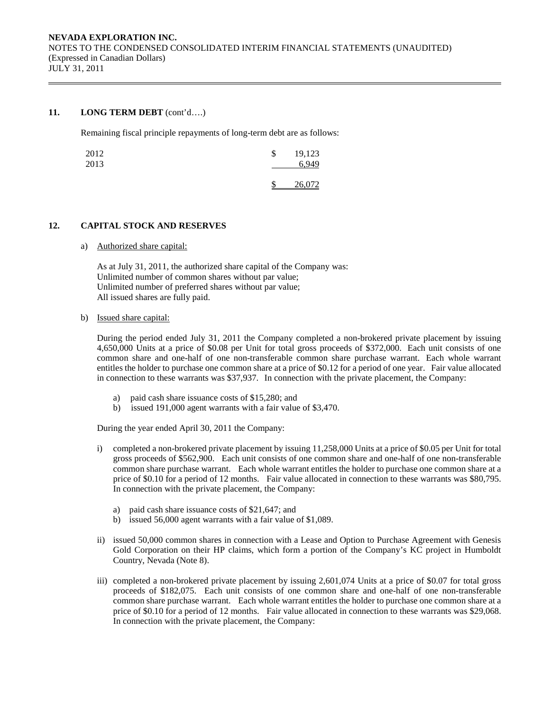### **11. LONG TERM DEBT** (cont'd….)

Remaining fiscal principle repayments of long-term debt are as follows:

| 2012<br>2013 | S | 19,123<br>6.949 |
|--------------|---|-----------------|
|              |   | 26,072          |

## **12. CAPITAL STOCK AND RESERVES**

a) Authorized share capital:

As at July 31, 2011, the authorized share capital of the Company was: Unlimited number of common shares without par value; Unlimited number of preferred shares without par value; All issued shares are fully paid.

b) Issued share capital:

 During the period ended July 31, 2011 the Company completed a non-brokered private placement by issuing 4,650,000 Units at a price of \$0.08 per Unit for total gross proceeds of \$372,000. Each unit consists of one common share and one-half of one non-transferable common share purchase warrant. Each whole warrant entitles the holder to purchase one common share at a price of \$0.12 for a period of one year. Fair value allocated in connection to these warrants was \$37,937. In connection with the private placement, the Company:

- a) paid cash share issuance costs of \$15,280; and
- b) issued 191,000 agent warrants with a fair value of \$3,470.

During the year ended April 30, 2011 the Company:

- i) completed a non-brokered private placement by issuing 11,258,000 Units at a price of \$0.05 per Unit for total gross proceeds of \$562,900. Each unit consists of one common share and one-half of one non-transferable common share purchase warrant. Each whole warrant entitles the holder to purchase one common share at a price of \$0.10 for a period of 12 months. Fair value allocated in connection to these warrants was \$80,795. In connection with the private placement, the Company:
	- a) paid cash share issuance costs of \$21,647; and
	- b) issued 56,000 agent warrants with a fair value of \$1,089.
- ii) issued 50,000 common shares in connection with a Lease and Option to Purchase Agreement with Genesis Gold Corporation on their HP claims, which form a portion of the Company's KC project in Humboldt Country, Nevada (Note 8).
- iii) completed a non-brokered private placement by issuing 2,601,074 Units at a price of \$0.07 for total gross proceeds of \$182,075. Each unit consists of one common share and one-half of one non-transferable common share purchase warrant. Each whole warrant entitles the holder to purchase one common share at a price of \$0.10 for a period of 12 months. Fair value allocated in connection to these warrants was \$29,068. In connection with the private placement, the Company: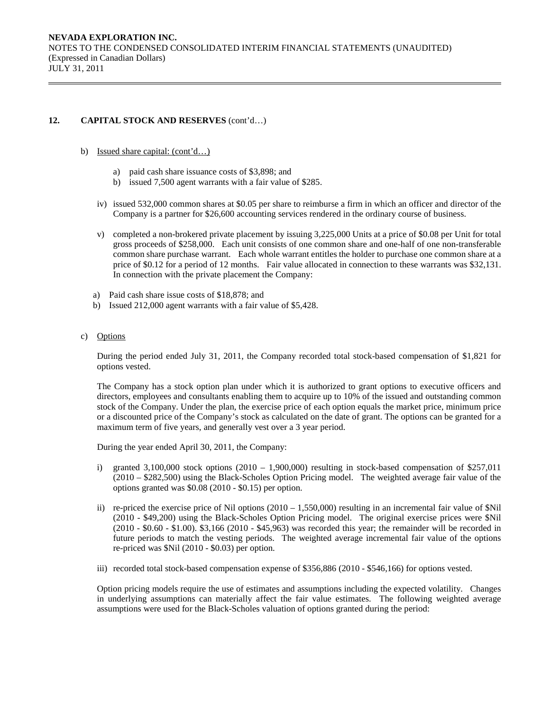## **12. CAPITAL STOCK AND RESERVES** (cont'd…)

- b) Issued share capital: (cont'd…)
	- a) paid cash share issuance costs of \$3,898; and
	- b) issued 7,500 agent warrants with a fair value of \$285.
	- iv) issued 532,000 common shares at \$0.05 per share to reimburse a firm in which an officer and director of the Company is a partner for \$26,600 accounting services rendered in the ordinary course of business.
	- v) completed a non-brokered private placement by issuing 3,225,000 Units at a price of \$0.08 per Unit for total gross proceeds of \$258,000. Each unit consists of one common share and one-half of one non-transferable common share purchase warrant. Each whole warrant entitles the holder to purchase one common share at a price of \$0.12 for a period of 12 months. Fair value allocated in connection to these warrants was \$32,131. In connection with the private placement the Company:
	- a) Paid cash share issue costs of \$18,878; and
	- b) Issued 212,000 agent warrants with a fair value of \$5,428.
- c) Options

During the period ended July 31, 2011, the Company recorded total stock-based compensation of \$1,821 for options vested.

The Company has a stock option plan under which it is authorized to grant options to executive officers and directors, employees and consultants enabling them to acquire up to 10% of the issued and outstanding common stock of the Company. Under the plan, the exercise price of each option equals the market price, minimum price or a discounted price of the Company's stock as calculated on the date of grant. The options can be granted for a maximum term of five years, and generally vest over a 3 year period.

During the year ended April 30, 2011, the Company:

- i) granted  $3,100,000$  stock options  $(2010 1,900,000)$  resulting in stock-based compensation of \$257,011 (2010 – \$282,500) using the Black-Scholes Option Pricing model. The weighted average fair value of the options granted was \$0.08 (2010 - \$0.15) per option.
- ii) re-priced the exercise price of Nil options (2010 1,550,000) resulting in an incremental fair value of \$Nil (2010 - \$49,200) using the Black-Scholes Option Pricing model. The original exercise prices were \$Nil (2010 - \$0.60 - \$1.00). \$3,166 (2010 - \$45,963) was recorded this year; the remainder will be recorded in future periods to match the vesting periods. The weighted average incremental fair value of the options re-priced was \$Nil (2010 - \$0.03) per option.
- iii) recorded total stock-based compensation expense of \$356,886 (2010 \$546,166) for options vested.

Option pricing models require the use of estimates and assumptions including the expected volatility. Changes in underlying assumptions can materially affect the fair value estimates. The following weighted average assumptions were used for the Black-Scholes valuation of options granted during the period: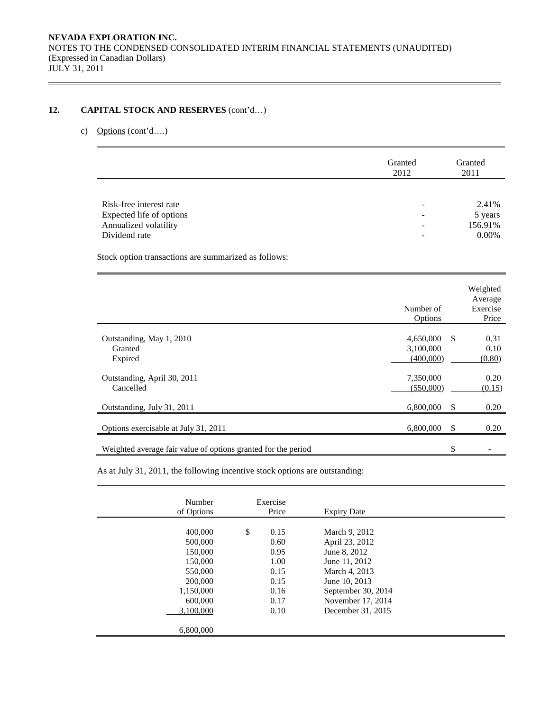# **12. CAPITAL STOCK AND RESERVES** (cont'd…)

# c) Options (cont'd….)

|                          | Granted<br>2012 | Granted<br>2011 |
|--------------------------|-----------------|-----------------|
|                          |                 |                 |
| Risk-free interest rate  |                 | 2.41%           |
| Expected life of options |                 | 5 years         |
| Annualized volatility    |                 | 156.91%         |
| Dividend rate            |                 | 0.00%           |

Stock option transactions are summarized as follows:

|                                                               | Number of<br>Options                |    | Weighted<br>Average<br>Exercise<br>Price |
|---------------------------------------------------------------|-------------------------------------|----|------------------------------------------|
| Outstanding, May 1, 2010<br>Granted<br>Expired                | 4,650,000<br>3,100,000<br>(400,000) | -S | 0.31<br>0.10<br>(0.80)                   |
| Outstanding, April 30, 2011<br>Cancelled                      | 7,350,000<br>(550,000)              |    | 0.20<br>(0.15)                           |
| Outstanding, July 31, 2011                                    | 6,800,000                           | \$ | 0.20                                     |
| Options exercisable at July 31, 2011                          | 6,800,000                           | -S | 0.20                                     |
| Weighted average fair value of options granted for the period |                                     | \$ |                                          |

As at July 31, 2011, the following incentive stock options are outstanding:

| Number<br>of Options                                                                                             | Exercise<br>Price                                                          | <b>Expiry Date</b>                                                                                                                                                 |  |
|------------------------------------------------------------------------------------------------------------------|----------------------------------------------------------------------------|--------------------------------------------------------------------------------------------------------------------------------------------------------------------|--|
| 400,000<br>500,000<br>150,000<br>150,000<br>550,000<br>200,000<br>1,150,000<br>600,000<br>3.100.000<br>6,800,000 | \$<br>0.15<br>0.60<br>0.95<br>1.00<br>0.15<br>0.15<br>0.16<br>0.17<br>0.10 | March 9, 2012<br>April 23, 2012<br>June 8, 2012<br>June 11, 2012<br>March 4, 2013<br>June 10, 2013<br>September 30, 2014<br>November 17, 2014<br>December 31, 2015 |  |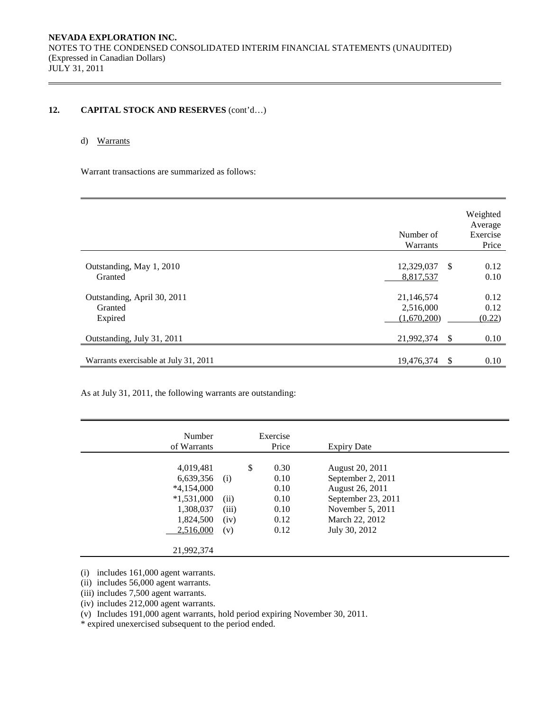# 12. CAPITAL STOCK AND RESERVES  $(cont'd...)$

## d) Warrants

Warrant transactions are summarized as follows:

|                                                   | Number of<br>Warrants                  |     | Weighted<br>Average<br>Exercise<br>Price |
|---------------------------------------------------|----------------------------------------|-----|------------------------------------------|
| Outstanding, May 1, 2010<br>Granted               | 12,329,037<br>8,817,537                | -\$ | 0.12<br>0.10                             |
| Outstanding, April 30, 2011<br>Granted<br>Expired | 21,146,574<br>2,516,000<br>(1,670,200) |     | 0.12<br>0.12<br>(0.22)                   |
| Outstanding, July 31, 2011                        | 21,992,374                             | -S  | 0.10                                     |
| Warrants exercisable at July 31, 2011             | 19,476,374                             | \$  | 0.10                                     |

As at July 31, 2011, the following warrants are outstanding:

| Number<br>of Warrants                                                                         |                                     | Exercise<br>Price                                          | <b>Expiry Date</b>                                                                                                                   |  |
|-----------------------------------------------------------------------------------------------|-------------------------------------|------------------------------------------------------------|--------------------------------------------------------------------------------------------------------------------------------------|--|
| 4,019,481<br>6,639,356<br>$*4,154,000$<br>$*1,531,000$<br>1,308,037<br>1,824,500<br>2,516,000 | (i)<br>(ii)<br>(iii)<br>(iv)<br>(v) | \$<br>0.30<br>0.10<br>0.10<br>0.10<br>0.10<br>0.12<br>0.12 | August 20, 2011<br>September 2, 2011<br>August 26, 2011<br>September 23, 2011<br>November 5, 2011<br>March 22, 2012<br>July 30, 2012 |  |
| 21,992,374                                                                                    |                                     |                                                            |                                                                                                                                      |  |

(i) includes 161,000 agent warrants.

(ii) includes 56,000 agent warrants.

(iii) includes 7,500 agent warrants.

(iv) includes 212,000 agent warrants.

(v) Includes 191,000 agent warrants, hold period expiring November 30, 2011.

\* expired unexercised subsequent to the period ended.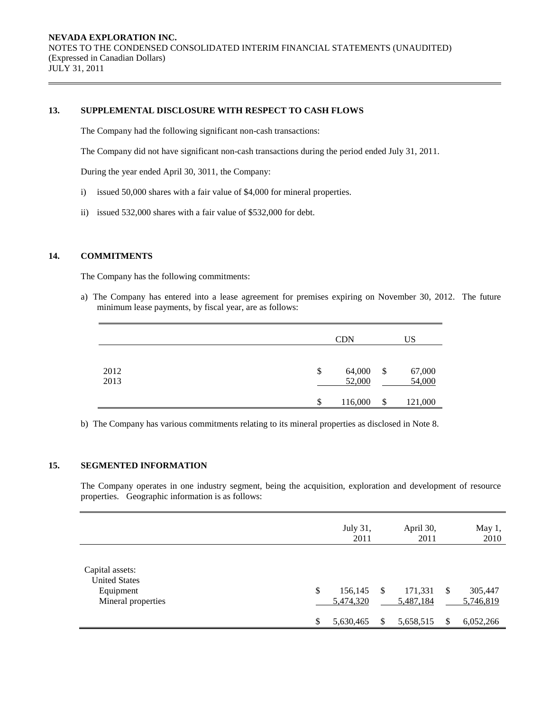#### **13. SUPPLEMENTAL DISCLOSURE WITH RESPECT TO CASH FLOWS**

The Company had the following significant non-cash transactions:

The Company did not have significant non-cash transactions during the period ended July 31, 2011.

During the year ended April 30, 3011, the Company:

- i) issued 50,000 shares with a fair value of \$4,000 for mineral properties.
- ii) issued 532,000 shares with a fair value of \$532,000 for debt.

## **14. COMMITMENTS**

The Company has the following commitments:

a) The Company has entered into a lease agreement for premises expiring on November 30, 2012. The future minimum lease payments, by fiscal year, are as follows:

|              | <b>CDN</b>             | US                     |
|--------------|------------------------|------------------------|
| 2012<br>2013 | \$<br>64,000<br>52,000 | \$<br>67,000<br>54,000 |
|              | \$<br>116,000          | \$<br>121,000          |

b) The Company has various commitments relating to its mineral properties as disclosed in Note 8.

# **15. SEGMENTED INFORMATION**

The Company operates in one industry segment, being the acquisition, exploration and development of resource properties. Geographic information is as follows:

|                                                                            |                     | July 31,<br>2011                  |    | April 30,<br>2011                 |           | May 1,<br>2010                    |
|----------------------------------------------------------------------------|---------------------|-----------------------------------|----|-----------------------------------|-----------|-----------------------------------|
| Capital assets:<br><b>United States</b><br>Equipment<br>Mineral properties | $\mathbb{S}$<br>\$. | 156,145<br>5,474,320<br>5,630,465 | -S | 171,331<br>5,487,184<br>5,658,515 | -S<br>\$. | 305,447<br>5,746,819<br>6,052,266 |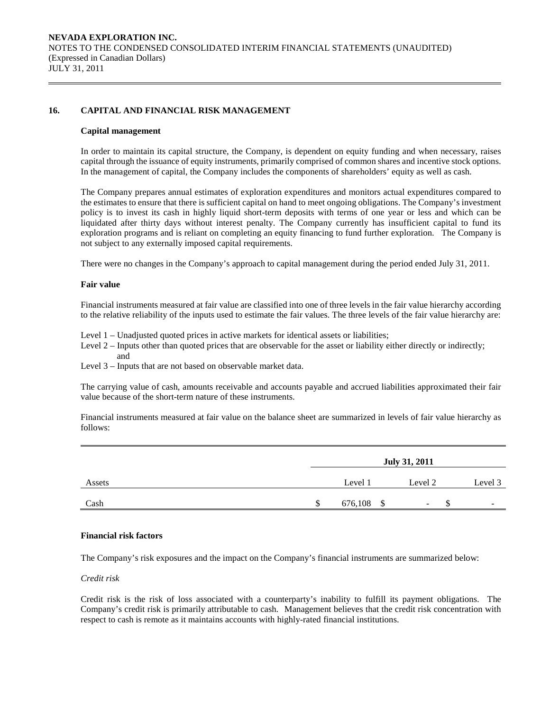## **16. CAPITAL AND FINANCIAL RISK MANAGEMENT**

#### **Capital management**

In order to maintain its capital structure, the Company, is dependent on equity funding and when necessary, raises capital through the issuance of equity instruments, primarily comprised of common shares and incentive stock options. In the management of capital, the Company includes the components of shareholders' equity as well as cash.

The Company prepares annual estimates of exploration expenditures and monitors actual expenditures compared to the estimates to ensure that there is sufficient capital on hand to meet ongoing obligations. The Company's investment policy is to invest its cash in highly liquid short-term deposits with terms of one year or less and which can be liquidated after thirty days without interest penalty. The Company currently has insufficient capital to fund its exploration programs and is reliant on completing an equity financing to fund further exploration. The Company is not subject to any externally imposed capital requirements.

There were no changes in the Company's approach to capital management during the period ended July 31, 2011.

#### **Fair value**

Financial instruments measured at fair value are classified into one of three levels in the fair value hierarchy according to the relative reliability of the inputs used to estimate the fair values. The three levels of the fair value hierarchy are:

Level 1 – Unadjusted quoted prices in active markets for identical assets or liabilities;

Level 2 – Inputs other than quoted prices that are observable for the asset or liability either directly or indirectly; and

Level 3 – Inputs that are not based on observable market data.

The carrying value of cash, amounts receivable and accounts payable and accrued liabilities approximated their fair value because of the short-term nature of these instruments.

Financial instruments measured at fair value on the balance sheet are summarized in levels of fair value hierarchy as follows:

|        |   |         | <b>July 31, 2011</b> |                          |
|--------|---|---------|----------------------|--------------------------|
| Assets |   | Level 1 | Level 2              | Level 3                  |
| Cash   | S | 676,108 | - S<br>-             | $\overline{\phantom{0}}$ |

#### **Financial risk factors**

The Company's risk exposures and the impact on the Company's financial instruments are summarized below:

### *Credit risk*

 Credit risk is the risk of loss associated with a counterparty's inability to fulfill its payment obligations. The Company's credit risk is primarily attributable to cash. Management believes that the credit risk concentration with respect to cash is remote as it maintains accounts with highly-rated financial institutions.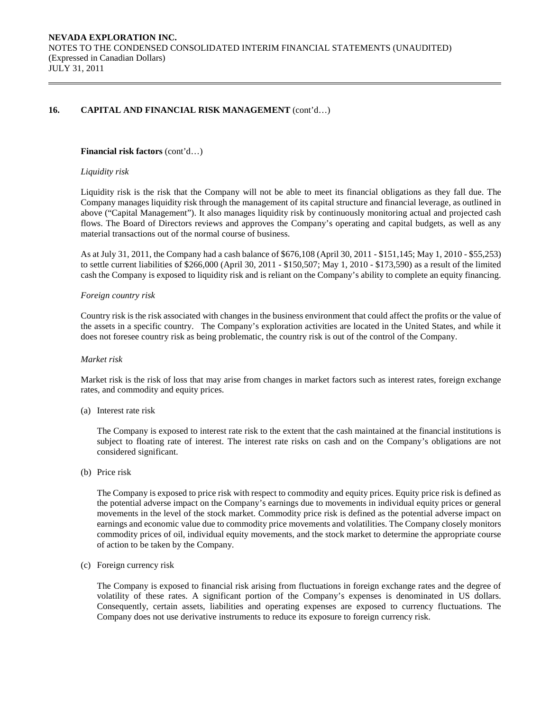## 16. CAPITAL AND FINANCIAL RISK MANAGEMENT  $(cont'd...)$

#### **Financial risk factors** (cont'd…)

#### *Liquidity risk*

Liquidity risk is the risk that the Company will not be able to meet its financial obligations as they fall due. The Company manages liquidity risk through the management of its capital structure and financial leverage, as outlined in above ("Capital Management"). It also manages liquidity risk by continuously monitoring actual and projected cash flows. The Board of Directors reviews and approves the Company's operating and capital budgets, as well as any material transactions out of the normal course of business.

As at July 31, 2011, the Company had a cash balance of \$676,108 (April 30, 2011 - \$151,145; May 1, 2010 - \$55,253) to settle current liabilities of \$266,000 (April 30, 2011 - \$150,507; May 1, 2010 - \$173,590) as a result of the limited cash the Company is exposed to liquidity risk and is reliant on the Company's ability to complete an equity financing.

#### *Foreign country risk*

Country risk is the risk associated with changes in the business environment that could affect the profits or the value of the assets in a specific country. The Company's exploration activities are located in the United States, and while it does not foresee country risk as being problematic, the country risk is out of the control of the Company.

#### *Market risk*

Market risk is the risk of loss that may arise from changes in market factors such as interest rates, foreign exchange rates, and commodity and equity prices.

(a) Interest rate risk

 The Company is exposed to interest rate risk to the extent that the cash maintained at the financial institutions is subject to floating rate of interest. The interest rate risks on cash and on the Company's obligations are not considered significant.

(b) Price risk

The Company is exposed to price risk with respect to commodity and equity prices. Equity price risk is defined as the potential adverse impact on the Company's earnings due to movements in individual equity prices or general movements in the level of the stock market. Commodity price risk is defined as the potential adverse impact on earnings and economic value due to commodity price movements and volatilities. The Company closely monitors commodity prices of oil, individual equity movements, and the stock market to determine the appropriate course of action to be taken by the Company.

(c) Foreign currency risk

The Company is exposed to financial risk arising from fluctuations in foreign exchange rates and the degree of volatility of these rates. A significant portion of the Company's expenses is denominated in US dollars. Consequently, certain assets, liabilities and operating expenses are exposed to currency fluctuations. The Company does not use derivative instruments to reduce its exposure to foreign currency risk.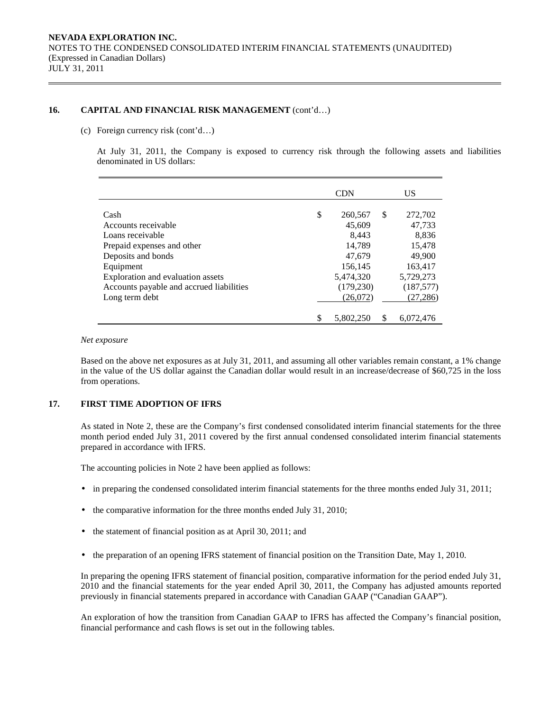### 16. CAPITAL AND FINANCIAL RISK MANAGEMENT (cont'd...)

#### (c) Foreign currency risk (cont'd…)

At July 31, 2011, the Company is exposed to currency risk through the following assets and liabilities denominated in US dollars:

|                                          |    | <b>CDN</b> |    | US.        |
|------------------------------------------|----|------------|----|------------|
| Cash                                     | \$ | 260,567    | S  | 272,702    |
| Accounts receivable                      |    | 45,609     |    | 47,733     |
| Loans receivable                         |    | 8,443      |    | 8,836      |
| Prepaid expenses and other               |    | 14,789     |    | 15,478     |
| Deposits and bonds                       |    | 47,679     |    | 49,900     |
| Equipment                                |    | 156,145    |    | 163,417    |
| Exploration and evaluation assets        |    | 5,474,320  |    | 5,729,273  |
| Accounts payable and accrued liabilities |    | (179, 230) |    | (187, 577) |
| Long term debt                           |    | (26,072)   |    | (27, 286)  |
|                                          | S  | 5.802.250  | \$ | 6.072.476  |

#### *Net exposure*

Based on the above net exposures as at July 31, 2011, and assuming all other variables remain constant, a 1% change in the value of the US dollar against the Canadian dollar would result in an increase/decrease of \$60,725 in the loss from operations.

#### **17. FIRST TIME ADOPTION OF IFRS**

 As stated in Note 2, these are the Company's first condensed consolidated interim financial statements for the three month period ended July 31, 2011 covered by the first annual condensed consolidated interim financial statements prepared in accordance with IFRS.

The accounting policies in Note 2 have been applied as follows:

- in preparing the condensed consolidated interim financial statements for the three months ended July 31, 2011;
- the comparative information for the three months ended July 31, 2010;
- the statement of financial position as at April 30, 2011; and
- the preparation of an opening IFRS statement of financial position on the Transition Date, May 1, 2010.

In preparing the opening IFRS statement of financial position, comparative information for the period ended July 31, 2010 and the financial statements for the year ended April 30, 2011, the Company has adjusted amounts reported previously in financial statements prepared in accordance with Canadian GAAP ("Canadian GAAP").

 An exploration of how the transition from Canadian GAAP to IFRS has affected the Company's financial position, financial performance and cash flows is set out in the following tables.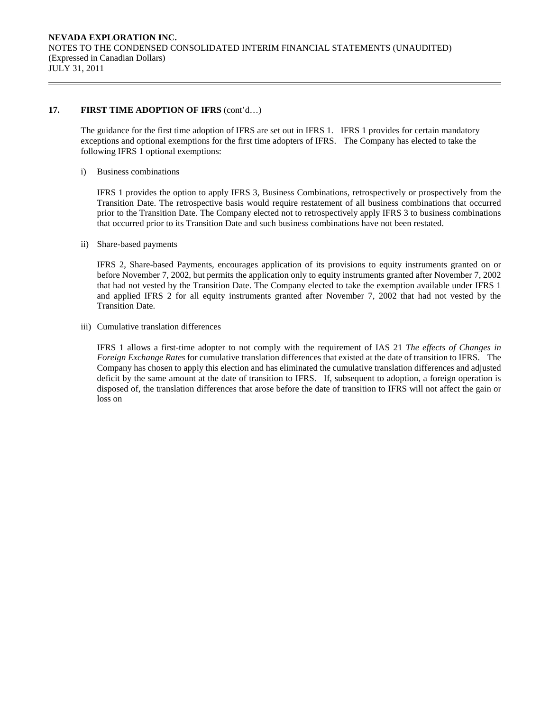## 17. **FIRST TIME ADOPTION OF IFRS** (cont'd...)

The guidance for the first time adoption of IFRS are set out in IFRS 1. IFRS 1 provides for certain mandatory exceptions and optional exemptions for the first time adopters of IFRS. The Company has elected to take the following IFRS 1 optional exemptions:

i) Business combinations

IFRS 1 provides the option to apply IFRS 3, Business Combinations, retrospectively or prospectively from the Transition Date. The retrospective basis would require restatement of all business combinations that occurred prior to the Transition Date. The Company elected not to retrospectively apply IFRS 3 to business combinations that occurred prior to its Transition Date and such business combinations have not been restated.

ii) Share-based payments

IFRS 2, Share-based Payments, encourages application of its provisions to equity instruments granted on or before November 7, 2002, but permits the application only to equity instruments granted after November 7, 2002 that had not vested by the Transition Date. The Company elected to take the exemption available under IFRS 1 and applied IFRS 2 for all equity instruments granted after November 7, 2002 that had not vested by the Transition Date.

iii) Cumulative translation differences

IFRS 1 allows a first-time adopter to not comply with the requirement of IAS 21 *The effects of Changes in Foreign Exchange Rates* for cumulative translation differences that existed at the date of transition to IFRS. The Company has chosen to apply this election and has eliminated the cumulative translation differences and adjusted deficit by the same amount at the date of transition to IFRS. If, subsequent to adoption, a foreign operation is disposed of, the translation differences that arose before the date of transition to IFRS will not affect the gain or loss on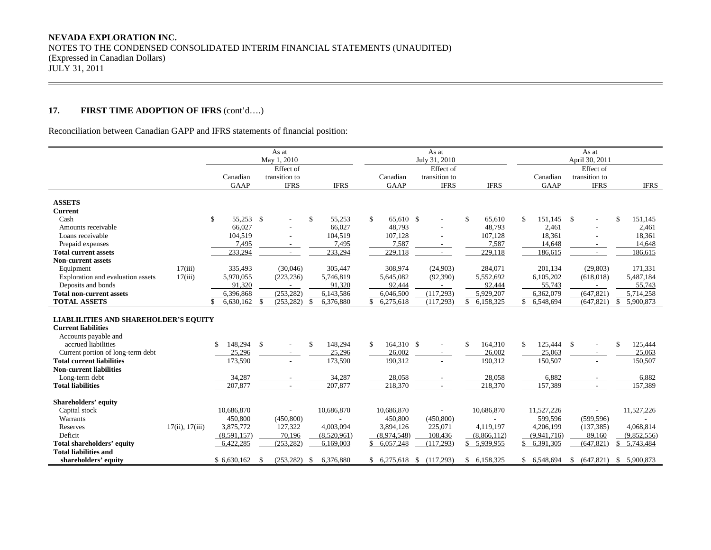# **17. FIRST TIME ADOPTION OF IFRS** (cont'd….)

Reconciliation between Canadian GAPP and IFRS statements of financial position:

|                                                                                                                                                                                                                                                                                    |                 |                                                         | As at<br>May 1, 2010                      |                                                         |                                                            | As at<br>July 31, 2010                    |                                                                    |                                                        | As at<br>April 30, 2011                                              |                                                        |
|------------------------------------------------------------------------------------------------------------------------------------------------------------------------------------------------------------------------------------------------------------------------------------|-----------------|---------------------------------------------------------|-------------------------------------------|---------------------------------------------------------|------------------------------------------------------------|-------------------------------------------|--------------------------------------------------------------------|--------------------------------------------------------|----------------------------------------------------------------------|--------------------------------------------------------|
|                                                                                                                                                                                                                                                                                    |                 | Canadian<br><b>GAAP</b>                                 | Effect of<br>transition to<br><b>IFRS</b> | <b>IFRS</b>                                             | Canadian<br><b>GAAP</b>                                    | Effect of<br>transition to<br><b>IFRS</b> | <b>IFRS</b>                                                        | Canadian<br><b>GAAP</b>                                | Effect of<br>transition to<br><b>IFRS</b>                            | <b>IFRS</b>                                            |
| <b>ASSETS</b>                                                                                                                                                                                                                                                                      |                 |                                                         |                                           |                                                         |                                                            |                                           |                                                                    |                                                        |                                                                      |                                                        |
| <b>Current</b>                                                                                                                                                                                                                                                                     |                 |                                                         |                                           |                                                         |                                                            |                                           |                                                                    |                                                        |                                                                      |                                                        |
| Cash                                                                                                                                                                                                                                                                               |                 | \$<br>55,253 \$                                         |                                           | \$<br>55,253                                            | \$<br>65.610 \$                                            |                                           | $\mathbf{\$}$<br>65,610                                            | \$<br>151.145                                          | $\mathbf{\$}$<br>$\overline{\phantom{a}}$                            | \$<br>151,145                                          |
| Amounts receivable                                                                                                                                                                                                                                                                 |                 | 66,027                                                  |                                           | 66,027                                                  | 48,793                                                     |                                           | 48,793                                                             | 2,461                                                  |                                                                      | 2,461                                                  |
| Loans receivable                                                                                                                                                                                                                                                                   |                 | 104,519                                                 |                                           | 104,519                                                 | 107,128                                                    |                                           | 107,128                                                            | 18,361                                                 | $\overline{\phantom{a}}$                                             | 18,361                                                 |
| Prepaid expenses                                                                                                                                                                                                                                                                   |                 | 7.495                                                   | $\sim$                                    | 7.495                                                   | 7.587                                                      | $\overline{\phantom{a}}$                  | 7.587                                                              | 14.648                                                 | $\sim$                                                               | 14.648                                                 |
| <b>Total current assets</b>                                                                                                                                                                                                                                                        |                 | 233,294                                                 |                                           | 233,294                                                 | 229,118                                                    |                                           | 229,118                                                            | 186,615                                                | $\overline{\phantom{a}}$                                             | 186,615                                                |
| <b>Non-current assets</b>                                                                                                                                                                                                                                                          |                 |                                                         |                                           |                                                         |                                                            |                                           |                                                                    |                                                        |                                                                      |                                                        |
| Equipment                                                                                                                                                                                                                                                                          | 17(iii)         | 335,493                                                 | (30,046)                                  | 305,447                                                 | 308,974                                                    | (24,903)                                  | 284,071                                                            | 201,134                                                | (29, 803)                                                            | 171,331                                                |
| Exploration and evaluation assets                                                                                                                                                                                                                                                  | 17(iii)         | 5,970,055                                               | (223, 236)                                | 5,746,819                                               | 5,645,082                                                  | (92,390)                                  | 5,552,692                                                          | 6,105,202                                              | (618, 018)                                                           | 5,487,184                                              |
| Deposits and bonds                                                                                                                                                                                                                                                                 |                 | 91,320                                                  |                                           | 91,320                                                  | 92,444                                                     |                                           | 92,444                                                             | 55,743                                                 | $\sim$                                                               | 55,743                                                 |
| <b>Total non-current assets</b>                                                                                                                                                                                                                                                    |                 | 6,396,868                                               | (253, 282)                                | 6,143,586                                               | 6,046,500                                                  | (117, 293)                                | 5,929,207                                                          | 6,362,079                                              | (647, 821)                                                           | 5,714,258                                              |
| <b>TOTAL ASSETS</b>                                                                                                                                                                                                                                                                |                 | 6,630,162<br>\$.                                        | $\mathbf{s}$<br>(253, 282)                | \$<br>6,376,880                                         | \$6,275,618                                                | (117, 293)                                | 6,158,325<br><sup>\$</sup>                                         | \$ 6,548,694                                           | (647, 821)                                                           | $\mathbb{S}$<br>5,900,873                              |
| <b>LIABLILITIES AND SHAREHOLDER'S EQUITY</b><br><b>Current liabilities</b><br>Accounts payable and<br>accrued liabilities<br>Current portion of long-term debt<br><b>Total current liabilities</b><br><b>Non-current liabilities</b><br>Long-term debt<br><b>Total liabilities</b> |                 | 148,294<br>S.<br>25,296<br>173,590<br>34,287<br>207,877 | \$<br>$\overline{a}$<br>$\sim$            | 148,294<br>\$<br>25,296<br>173,590<br>34,287<br>207,877 | 164,310 \$<br>\$<br>26.002<br>190,312<br>28,058<br>218,370 | $\sim$                                    | 164,310<br>$\mathbf{\$}$<br>26,002<br>190,312<br>28,058<br>218,370 | \$<br>125,444<br>25,063<br>150,507<br>6,882<br>157,389 | $\mathbb{S}$<br>$\overline{a}$<br>$\sim$<br>$\overline{\phantom{a}}$ | \$<br>125,444<br>25,063<br>150,507<br>6,882<br>157,389 |
| Shareholders' equity                                                                                                                                                                                                                                                               |                 |                                                         |                                           |                                                         |                                                            |                                           |                                                                    |                                                        |                                                                      |                                                        |
| Capital stock                                                                                                                                                                                                                                                                      |                 | 10,686,870                                              |                                           | 10,686,870                                              | 10,686,870                                                 |                                           | 10,686,870                                                         | 11,527,226                                             |                                                                      | 11,527,226                                             |
| Warrants                                                                                                                                                                                                                                                                           |                 | 450,800                                                 | (450,800)                                 |                                                         | 450,800                                                    | (450, 800)                                |                                                                    | 599.596                                                | (599.596)                                                            |                                                        |
| Reserves                                                                                                                                                                                                                                                                           | 17(ii), 17(iii) | 3,875,772                                               | 127,322                                   | 4,003,094                                               | 3,894,126                                                  | 225,071                                   | 4,119,197                                                          | 4,206,199                                              | (137, 385)                                                           | 4,068,814                                              |
| Deficit                                                                                                                                                                                                                                                                            |                 | (8,591,157)                                             | 70,196                                    | (8,520,961)                                             | (8,974,548)                                                | 108,436                                   | (8,866,112)                                                        | (9,941,716)                                            | 89,160                                                               | (9,852,556)                                            |
| Total shareholders' equity                                                                                                                                                                                                                                                         |                 | 6,422,285                                               | (253, 282)                                | 6,169,003                                               | \$6,057,248                                                | (117,293)                                 | \$ 5,939,955                                                       | \$<br>6,391,305                                        | (647, 821)                                                           | \$5,743,484                                            |
| <b>Total liabilities and</b>                                                                                                                                                                                                                                                       |                 |                                                         |                                           |                                                         |                                                            |                                           |                                                                    |                                                        |                                                                      |                                                        |
| shareholders' equity                                                                                                                                                                                                                                                               |                 | \$6,630,162                                             | $(253, 282)$ \$<br>-S                     | 6,376,880                                               | $$6,275,618$ \;                                            | (117,293)                                 | \$6,158,325                                                        | \$6,548,694                                            | $$$ (647,821) $$$ 5,900,873                                          |                                                        |

,我们也不会有什么。""我们的人,我们也不会有什么?""我们的人,我们也不会有什么?""我们的人,我们也不会有什么?""我们的人,我们也不会有什么?""我们的人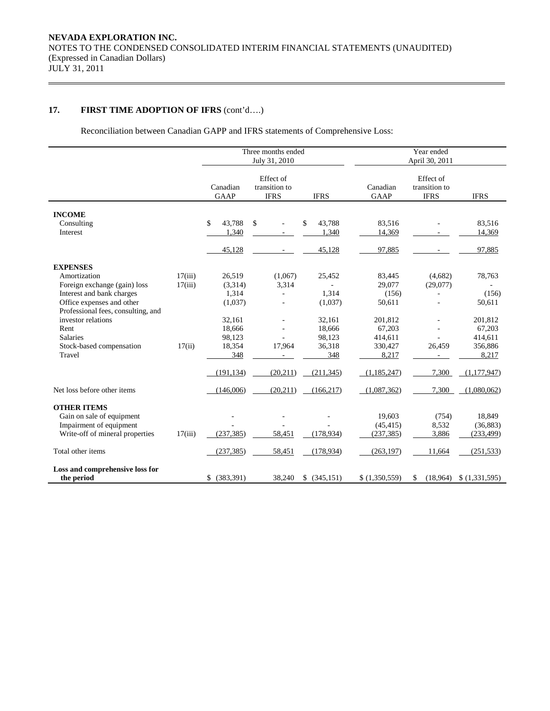# **17. FIRST TIME ADOPTION OF IFRS** (cont'd….)

Reconciliation between Canadian GAPP and IFRS statements of Comprehensive Loss:

|                                                                 |         |                         | Three months ended<br>July 31, 2010       |                  |                         | Year ended<br>April 30, 2011              |                  |
|-----------------------------------------------------------------|---------|-------------------------|-------------------------------------------|------------------|-------------------------|-------------------------------------------|------------------|
|                                                                 |         | Canadian<br><b>GAAP</b> | Effect of<br>transition to<br><b>IFRS</b> | <b>IFRS</b>      | Canadian<br><b>GAAP</b> | Effect of<br>transition to<br><b>IFRS</b> | <b>IFRS</b>      |
| <b>INCOME</b>                                                   |         |                         |                                           |                  |                         |                                           |                  |
| Consulting<br>Interest                                          |         | 43,788<br>\$<br>1,340   | \$                                        | 43,788<br>1,340  | 83,516<br>14,369        |                                           | 83,516<br>14,369 |
|                                                                 |         |                         |                                           |                  |                         |                                           |                  |
|                                                                 |         | 45,128                  |                                           | 45,128           | 97,885                  |                                           | 97,885           |
| <b>EXPENSES</b>                                                 |         |                         |                                           |                  |                         |                                           |                  |
| Amortization                                                    | 17(iii) | 26,519                  | (1,067)                                   | 25,452           | 83,445                  | (4,682)                                   | 78,763           |
| Foreign exchange (gain) loss                                    | 17(iii) | (3,314)                 | 3,314                                     |                  | 29,077                  | (29,077)                                  |                  |
| Interest and bank charges                                       |         | 1,314                   |                                           | 1,314            | (156)                   |                                           | (156)            |
| Office expenses and other<br>Professional fees, consulting, and |         | (1,037)                 |                                           | (1,037)          | 50,611                  |                                           | 50,611           |
| investor relations                                              |         | 32,161                  |                                           | 32,161           | 201,812                 |                                           | 201,812          |
| Rent                                                            |         | 18.666                  |                                           | 18,666           | 67,203                  |                                           | 67,203           |
| <b>Salaries</b>                                                 |         | 98,123                  |                                           | 98,123           | 414,611                 |                                           | 414,611          |
| Stock-based compensation                                        | 17(ii)  | 18,354                  | 17,964                                    | 36,318           | 330,427                 | 26,459                                    | 356,886          |
| Travel                                                          |         | 348                     |                                           | 348              | 8,217                   |                                           | 8,217            |
|                                                                 |         | (191, 134)              | (20, 211)                                 | (211, 345)       | (1,185,247)             | 7,300                                     | (1,177,947)      |
| Net loss before other items                                     |         | (146,006)               | (20, 211)                                 | (166, 217)       | (1,087,362)             | 7,300                                     | (1,080,062)      |
| <b>OTHER ITEMS</b>                                              |         |                         |                                           |                  |                         |                                           |                  |
| Gain on sale of equipment                                       |         |                         |                                           |                  | 19,603                  | (754)                                     | 18,849           |
| Impairment of equipment                                         |         |                         |                                           |                  | (45, 415)               | 8,532                                     | (36, 883)        |
| Write-off of mineral properties                                 | 17(iii) | (237, 385)              | 58,451                                    | (178, 934)       | (237, 385)              | 3,886                                     | (233, 499)       |
| Total other items                                               |         | (237, 385)              | 58,451                                    | (178, 934)       | (263, 197)              | 11,664                                    | (251, 533)       |
| Loss and comprehensive loss for                                 |         |                         |                                           |                  |                         |                                           |                  |
| the period                                                      |         | \$ (383,391)            | 38.240                                    | (345, 151)<br>\$ | \$(1,350,559)           | (18,964)                                  | \$(1,331,595)    |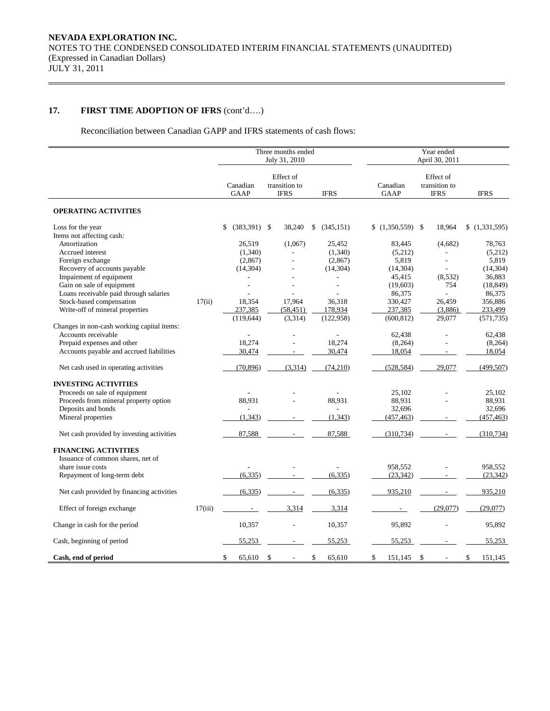# **17. FIRST TIME ADOPTION OF IFRS** (cont'd….)

Reconciliation between Canadian GAPP and IFRS statements of cash flows:

|                                            |         | Three months ended      |                                           | Year ended<br>April 30, 2011 |           |                         |    |                                           |               |
|--------------------------------------------|---------|-------------------------|-------------------------------------------|------------------------------|-----------|-------------------------|----|-------------------------------------------|---------------|
|                                            |         | Canadian<br><b>GAAP</b> | Effect of<br>transition to<br><b>IFRS</b> | <b>IFRS</b>                  |           | Canadian<br><b>GAAP</b> |    | Effect of<br>transition to<br><b>IFRS</b> | <b>IFRS</b>   |
| <b>OPERATING ACTIVITIES</b>                |         |                         |                                           |                              |           |                         |    |                                           |               |
| Loss for the year                          |         | \$<br>$(383,391)$ \$    | 38,240                                    | (345, 151)<br>\$             |           | $$(1,350,559)$ \\$      |    | 18,964                                    | (1,331,595)   |
| Items not affecting cash:                  |         |                         |                                           |                              |           |                         |    |                                           |               |
| Amortization                               |         | 26,519                  | (1,067)                                   |                              | 25,452    | 83,445                  |    | (4,682)                                   | 78,763        |
| Accrued interest                           |         | (1,340)                 |                                           |                              | (1,340)   | (5,212)                 |    |                                           | (5,212)       |
| Foreign exchange                           |         | (2,867)                 |                                           |                              | (2,867)   | 5,819                   |    | L,                                        | 5,819         |
| Recovery of accounts payable               |         | (14, 304)               |                                           |                              | (14, 304) | (14, 304)               |    | L,                                        | (14, 304)     |
| Impairment of equipment                    |         |                         |                                           |                              |           | 45,415                  |    | (8,532)                                   | 36.883        |
| Gain on sale of equipment                  |         | ÷                       |                                           |                              | ÷         | (19,603)                |    | 754                                       | (18, 849)     |
| Loans receivable paid through salaries     |         |                         |                                           |                              |           | 86,375                  |    | $\overline{a}$                            | 86,375        |
| Stock-based compensation                   | 17(ii)  | 18,354                  | 17,964                                    |                              | 36,318    | 330,427                 |    | 26,459                                    | 356,886       |
| Write-off of mineral properties            |         | 237,385                 | (58, 451)                                 | 178,934                      |           | 237,385                 |    | (3,886)                                   | 233,499       |
|                                            |         | (119, 644)              | (3,314)                                   | (122, 958)                   |           | (600, 812)              |    | 29,077                                    | (571, 735)    |
| Changes in non-cash working capital items: |         |                         |                                           |                              |           |                         |    |                                           |               |
| Accounts receivable                        |         |                         |                                           |                              |           | 62,438                  |    |                                           | 62,438        |
| Prepaid expenses and other                 |         | 18,274                  |                                           |                              | 18,274    | (8,264)                 |    | L.                                        | (8,264)       |
| Accounts payable and accrued liabilities   |         | 30,474                  |                                           |                              | 30,474    | 18,054                  |    |                                           | 18,054        |
| Net cash used in operating activities      |         | (70, 896)               | (3,314)                                   |                              | (74,210)  | (528, 584)              |    | 29,077                                    | (499, 507)    |
| <b>INVESTING ACTIVITIES</b>                |         |                         |                                           |                              |           |                         |    |                                           |               |
| Proceeds on sale of equipment              |         |                         |                                           |                              |           | 25,102                  |    |                                           | 25,102        |
| Proceeds from mineral property option      |         | 88,931                  |                                           |                              | 88,931    | 88,931                  |    |                                           | 88,931        |
| Deposits and bonds                         |         |                         |                                           |                              |           | 32,696                  |    |                                           | 32,696        |
| Mineral properties                         |         | (1, 343)                |                                           |                              | (1, 343)  | (457, 463)              |    |                                           | (457, 463)    |
| Net cash provided by investing activities  |         | 87,588                  | $\sim$                                    |                              | 87,588    | (310, 734)              |    |                                           | (310, 734)    |
| <b>FINANCING ACTIVITIES</b>                |         |                         |                                           |                              |           |                         |    |                                           |               |
| Issuance of common shares, net of          |         |                         |                                           |                              |           |                         |    |                                           |               |
| share issue costs                          |         |                         |                                           |                              |           | 958,552                 |    |                                           | 958,552       |
| Repayment of long-term debt                |         | (6,335)                 |                                           |                              | (6, 335)  | (23, 342)               |    |                                           | (23, 342)     |
| Net cash provided by financing activities  |         | (6,335)                 | $\omega_{\rm{max}}$                       |                              | (6, 335)  | 935,210                 |    |                                           | 935,210       |
| Effect of foreign exchange                 | 17(iii) | $\sim$                  | 3,314                                     |                              | 3,314     | $\blacksquare$          |    | (29,077)                                  | (29,077)      |
|                                            |         |                         |                                           |                              |           |                         |    |                                           |               |
| Change in cash for the period              |         | 10,357                  | ÷,                                        |                              | 10,357    | 95,892                  |    |                                           | 95,892        |
| Cash, beginning of period                  |         | 55,253                  |                                           |                              | 55,253    | 55,253                  |    |                                           | 55,253        |
| Cash, end of period                        |         | \$<br>65,610            | - \$<br>$\sim$                            | \$                           | 65,610    | \$<br>151,145           | \$ | $\sim$                                    | \$<br>151,145 |